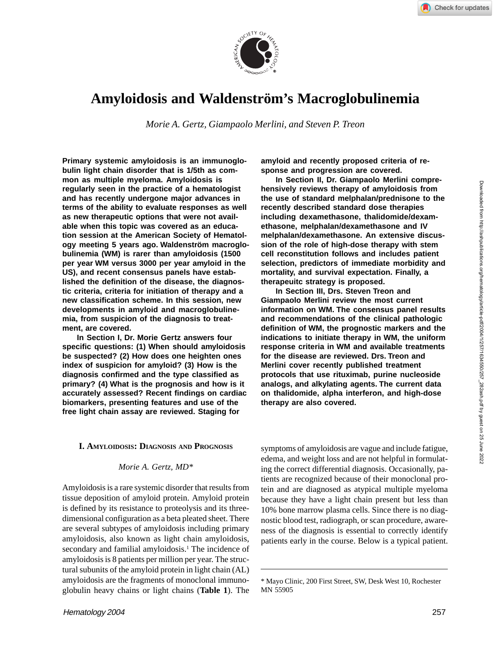

# **Amyloidosis and Waldenström's Macroglobulinemia**

*Morie A. Gertz, Giampaolo Merlini, and Steven P. Treon*

**Primary systemic amyloidosis is an immunoglobulin light chain disorder that is 1/5th as common as multiple myeloma. Amyloidosis is regularly seen in the practice of a hematologist and has recently undergone major advances in terms of the ability to evaluate responses as well as new therapeutic options that were not available when this topic was covered as an education session at the American Society of Hematology meeting 5 years ago. Waldenström macroglobulinemia (WM) is rarer than amyloidosis (1500 per year WM versus 3000 per year amyloid in the US), and recent consensus panels have established the definition of the disease, the diagnostic criteria, criteria for initiation of therapy and a new classification scheme. In this session, new developments in amyloid and macroglobulinemia, from suspicion of the diagnosis to treatment, are covered.**

**In Section I, Dr. Morie Gertz answers four specific questions: (1) When should amyloidosis be suspected? (2) How does one heighten ones index of suspicion for amyloid? (3) How is the diagnosis confirmed and the type classified as primary? (4) What is the prognosis and how is it accurately assessed? Recent findings on cardiac biomarkers, presenting features and use of the free light chain assay are reviewed. Staging for**

**amyloid and recently proposed criteria of response and progression are covered.**

**In Section II, Dr. Giampaolo Merlini comprehensively reviews therapy of amyloidosis from the use of standard melphalan/prednisone to the recently described standard dose therapies including dexamethasone, thalidomide/dexamethasone, melphalan/dexamethasone and IV melphalan/dexamethasone. An extensive discussion of the role of high-dose therapy with stem cell reconstitution follows and includes patient selection, predictors of immediate morbidity and mortality, and survival expectation. Finally, a therapeuitc strategy is proposed.**

**In Section III, Drs. Steven Treon and Giampaolo Merlini review the most current information on WM. The consensus panel results and recommendations of the clinical pathologic definition of WM, the prognostic markers and the indications to initiate therapy in WM, the uniform response criteria in WM and available treatments for the disease are reviewed. Drs. Treon and Merlini cover recently published treatment protocols that use rituximab, purine nucleoside analogs, and alkylating agents. The current data on thalidomide, alpha interferon, and high-dose therapy are also covered.**

#### **I. AMYLOIDOSIS: DIAGNOSIS AND PROGNOSIS**

### *Morie A. Gertz, MD\**

Amyloidosis is a rare systemic disorder that results from tissue deposition of amyloid protein. Amyloid protein is defined by its resistance to proteolysis and its threedimensional configuration as a beta pleated sheet. There are several subtypes of amyloidosis including primary amyloidosis, also known as light chain amyloidosis, secondary and familial amyloidosis.<sup>1</sup> The incidence of amyloidosis is 8 patients per million per year. The structural subunits of the amyloid protein in light chain (AL) amyloidosis are the fragments of monoclonal immunoglobulin heavy chains or light chains (**Table 1**). The symptoms of amyloidosis are vague and include fatigue, edema, and weight loss and are not helpful in formulating the correct differential diagnosis. Occasionally, patients are recognized because of their monoclonal protein and are diagnosed as atypical multiple myeloma because they have a light chain present but less than 10% bone marrow plasma cells. Since there is no diagnostic blood test, radiograph, or scan procedure, awareness of the diagnosis is essential to correctly identify patients early in the course. Below is a typical patient.

<sup>\*</sup> Mayo Clinic, 200 First Street, SW, Desk West 10, Rochester MN 55905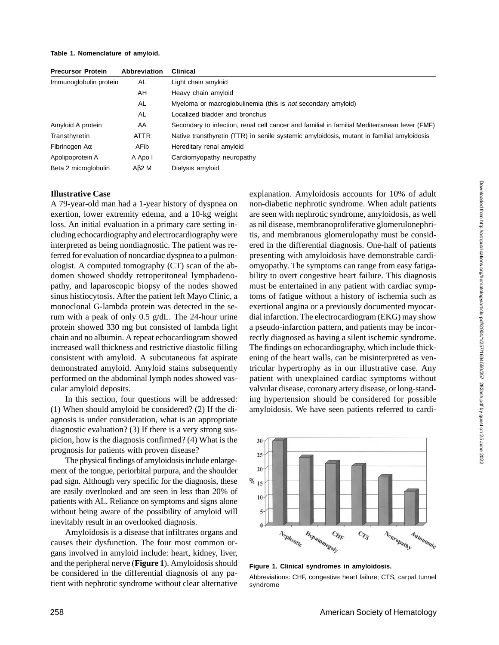| Abbreviation | <b>Clinical</b>                                                                              |
|--------------|----------------------------------------------------------------------------------------------|
| AL           | Light chain amyloid                                                                          |
| AH           | Heavy chain amyloid                                                                          |
| AL           | Myeloma or macroglobulinemia (this is <i>not</i> secondary amyloid)                          |
| AL           | Localized bladder and bronchus                                                               |
| AA           | Secondary to infection, renal cell cancer and familial in familial Mediterranean fever (FMF) |
| <b>ATTR</b>  | Native transthyretin (TTR) in senile systemic amyloidosis, mutant in familial amyloidosis    |
| AFib         | Hereditary renal amyloid                                                                     |
| A Apo I      | Cardiomyopathy neuropathy                                                                    |
| AB2M         | Dialysis amyloid                                                                             |
|              | Immunoglobulin protein                                                                       |

# **Illustrative Case**

A 79-year-old man had a 1-year history of dyspnea on exertion, lower extremity edema, and a 10-kg weight loss. An initial evaluation in a primary care setting including echocardiography and electrocardiography were interpreted as being nondiagnostic. The patient was referred for evaluation of noncardiac dyspnea to a pulmonologist. A computed tomography (CT) scan of the abdomen showed shoddy retroperitoneal lymphadenopathy, and laparoscopic biopsy of the nodes showed sinus histiocytosis. After the patient left Mayo Clinic, a monoclonal G-lambda protein was detected in the serum with a peak of only 0.5 g/dL. The 24-hour urine protein showed 330 mg but consisted of lambda light chain and no albumin. A repeat echocardiogram showed increased wall thickness and restrictive diastolic filling consistent with amyloid. A subcutaneous fat aspirate demonstrated amyloid. Amyloid stains subsequently performed on the abdominal lymph nodes showed vascular amyloid deposits.

In this section, four questions will be addressed: (1) When should amyloid be considered? (2) If the diagnosis is under consideration, what is an appropriate diagnostic evaluation? (3) If there is a very strong suspicion, how is the diagnosis confirmed? (4) What is the prognosis for patients with proven disease?

The physical findings of amyloidosis include enlargement of the tongue, periorbital purpura, and the shoulder pad sign. Although very specific for the diagnosis, these are easily overlooked and are seen in less than 20% of patients with AL. Reliance on symptoms and signs alone without being aware of the possibility of amyloid will inevitably result in an overlooked diagnosis.

Amyloidosis is a disease that infiltrates organs and causes their dysfunction. The four most common organs involved in amyloid include: heart, kidney, liver, and the peripheral nerve (**Figure 1**). Amyloidosis should be considered in the differential diagnosis of any patient with nephrotic syndrome without clear alternative

explanation. Amyloidosis accounts for 10% of adult non-diabetic nephrotic syndrome. When adult patients are seen with nephrotic syndrome, amyloidosis, as well as nil disease, membranoproliferative glomerulonephritis, and membranous glomerulopathy must be considered in the differential diagnosis. One-half of patients presenting with amyloidosis have demonstrable cardiomyopathy. The symptoms can range from easy fatigability to overt congestive heart failure. This diagnosis must be entertained in any patient with cardiac symptoms of fatigue without a history of ischemia such as exertional angina or a previously documented myocardial infarction. The electrocardiogram (EKG) may show a pseudo-infarction pattern, and patients may be incorrectly diagnosed as having a silent ischemic syndrome. The findings on echocardiography, which include thickening of the heart walls, can be misinterpreted as ventricular hypertrophy as in our illustrative case. Any patient with unexplained cardiac symptoms without valvular disease, coronary artery disease, or long-standing hypertension should be considered for possible amyloidosis. We have seen patients referred to cardi-



**Figure 1. Clinical syndromes in amyloidosis.** Abbreviations: CHF, congestive heart failure; CTS, carpal tunnel syndrome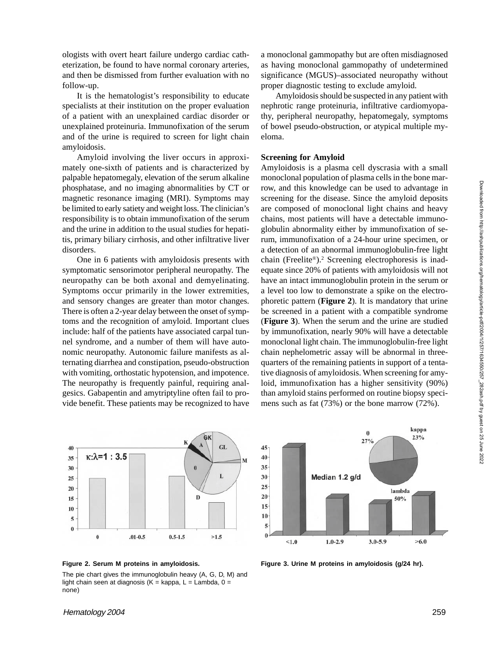ologists with overt heart failure undergo cardiac catheterization, be found to have normal coronary arteries, and then be dismissed from further evaluation with no follow-up.

It is the hematologist's responsibility to educate specialists at their institution on the proper evaluation of a patient with an unexplained cardiac disorder or unexplained proteinuria. Immunofixation of the serum and of the urine is required to screen for light chain amyloidosis.

Amyloid involving the liver occurs in approximately one-sixth of patients and is characterized by palpable hepatomegaly, elevation of the serum alkaline phosphatase, and no imaging abnormalities by CT or magnetic resonance imaging (MRI). Symptoms may be limited to early satiety and weight loss. The clinician's responsibility is to obtain immunofixation of the serum and the urine in addition to the usual studies for hepatitis, primary biliary cirrhosis, and other infiltrative liver disorders.

One in 6 patients with amyloidosis presents with symptomatic sensorimotor peripheral neuropathy. The neuropathy can be both axonal and demyelinating. Symptoms occur primarily in the lower extremities, and sensory changes are greater than motor changes. There is often a 2-year delay between the onset of symptoms and the recognition of amyloid. Important clues include: half of the patients have associated carpal tunnel syndrome, and a number of them will have autonomic neuropathy. Autonomic failure manifests as alternating diarrhea and constipation, pseudo-obstruction with vomiting, orthostatic hypotension, and impotence. The neuropathy is frequently painful, requiring analgesics. Gabapentin and amytriptyline often fail to provide benefit. These patients may be recognized to have

GK  $GL$  $40$  $\kappa:\lambda=1:3.5$ 35 M  $\bf{0}$ 30 L  $25$  $20$  $\mathbf{D}$ 15  $10\,$  $\overline{5}$  $\bf{0}$  $\pmb{0}$  $.01 - 0.5$  $0.5 - 1.5$  $>1.5$ 



a monoclonal gammopathy but are often misdiagnosed as having monoclonal gammopathy of undetermined significance (MGUS)–associated neuropathy without proper diagnostic testing to exclude amyloid.

Amyloidosis should be suspected in any patient with nephrotic range proteinuria, infiltrative cardiomyopathy, peripheral neuropathy, hepatomegaly, symptoms of bowel pseudo-obstruction, or atypical multiple myeloma.

### **Screening for Amyloid**

Amyloidosis is a plasma cell dyscrasia with a small monoclonal population of plasma cells in the bone marrow, and this knowledge can be used to advantage in screening for the disease. Since the amyloid deposits are composed of monoclonal light chains and heavy chains, most patients will have a detectable immunoglobulin abnormality either by immunofixation of serum, immunofixation of a 24-hour urine specimen, or a detection of an abnormal immunoglobulin-free light chain (Freelite®).<sup>2</sup> Screening electrophoresis is inadequate since 20% of patients with amyloidosis will not have an intact immunoglobulin protein in the serum or a level too low to demonstrate a spike on the electrophoretic pattern (**Figure 2**). It is mandatory that urine be screened in a patient with a compatible syndrome (**Figure 3**). When the serum and the urine are studied by immunofixation, nearly 90% will have a detectable monoclonal light chain. The immunoglobulin-free light chain nephelometric assay will be abnormal in threequarters of the remaining patients in support of a tentative diagnosis of amyloidosis. When screening for amyloid, immunofixation has a higher sensitivity (90%) than amyloid stains performed on routine biopsy specimens such as fat (73%) or the bone marrow (72%).



**Figure 3. Urine M proteins in amyloidosis (g/24 hr).**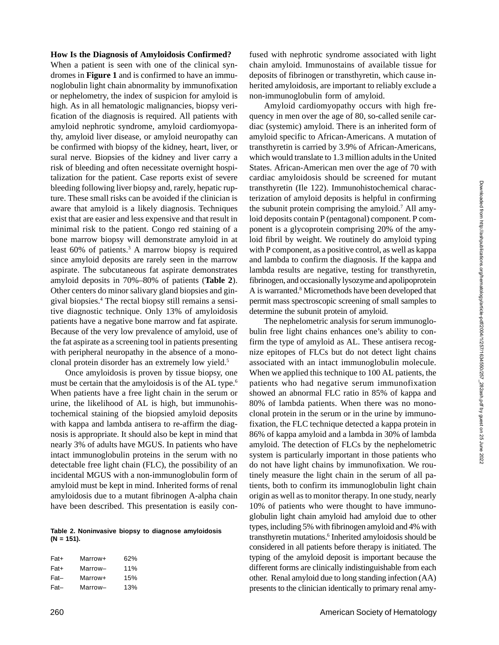# **How Is the Diagnosis of Amyloidosis Confirmed?**

When a patient is seen with one of the clinical syndromes in **Figure 1** and is confirmed to have an immunoglobulin light chain abnormality by immunofixation or nephelometry, the index of suspicion for amyloid is high. As in all hematologic malignancies, biopsy verification of the diagnosis is required. All patients with amyloid nephrotic syndrome, amyloid cardiomyopathy, amyloid liver disease, or amyloid neuropathy can be confirmed with biopsy of the kidney, heart, liver, or sural nerve. Biopsies of the kidney and liver carry a risk of bleeding and often necessitate overnight hospitalization for the patient. Case reports exist of severe bleeding following liver biopsy and, rarely, hepatic rupture. These small risks can be avoided if the clinician is aware that amyloid is a likely diagnosis. Techniques exist that are easier and less expensive and that result in minimal risk to the patient. Congo red staining of a bone marrow biopsy will demonstrate amyloid in at least 60% of patients.<sup>3</sup> A marrow biopsy is required since amyloid deposits are rarely seen in the marrow aspirate. The subcutaneous fat aspirate demonstrates amyloid deposits in 70%–80% of patients (**Table 2**). Other centers do minor salivary gland biopsies and gingival biopsies.4 The rectal biopsy still remains a sensitive diagnostic technique. Only 13% of amyloidosis patients have a negative bone marrow and fat aspirate. Because of the very low prevalence of amyloid, use of the fat aspirate as a screening tool in patients presenting with peripheral neuropathy in the absence of a monoclonal protein disorder has an extremely low yield.<sup>5</sup>

Once amyloidosis is proven by tissue biopsy, one must be certain that the amyloidosis is of the AL type.<sup>6</sup> When patients have a free light chain in the serum or urine, the likelihood of AL is high, but immunohistochemical staining of the biopsied amyloid deposits with kappa and lambda antisera to re-affirm the diagnosis is appropriate. It should also be kept in mind that nearly 3% of adults have MGUS. In patients who have intact immunoglobulin proteins in the serum with no detectable free light chain (FLC), the possibility of an incidental MGUS with a non-immunoglobulin form of amyloid must be kept in mind. Inherited forms of renal amyloidosis due to a mutant fibrinogen A-alpha chain have been described. This presentation is easily con-

#### **Table 2. Noninvasive biopsy to diagnose amyloidosis (N = 151).**

| Fat+ | Marrow+ | 62% |
|------|---------|-----|
| Fat+ | Marrow- | 11% |
| Fat- | Marrow+ | 15% |
| Fat- | Marrow- | 13% |
|      |         |     |

fused with nephrotic syndrome associated with light chain amyloid. Immunostains of available tissue for deposits of fibrinogen or transthyretin, which cause inherited amyloidosis, are important to reliably exclude a non-immunoglobulin form of amyloid.

Amyloid cardiomyopathy occurs with high frequency in men over the age of 80, so-called senile cardiac (systemic) amyloid. There is an inherited form of amyloid specific to African-Americans. A mutation of transthyretin is carried by 3.9% of African-Americans, which would translate to 1.3 million adults in the United States. African-American men over the age of 70 with cardiac amyloidosis should be screened for mutant transthyretin (Ile 122). Immunohistochemical characterization of amyloid deposits is helpful in confirming the subunit protein comprising the amyloid.7 All amyloid deposits contain P (pentagonal) component. P component is a glycoprotein comprising 20% of the amyloid fibril by weight. We routinely do amyloid typing with P component, as a positive control, as well as kappa and lambda to confirm the diagnosis. If the kappa and lambda results are negative, testing for transthyretin, fibrinogen, and occasionally lysozyme and apolipoprotein A is warranted.<sup>8</sup> Micromethods have been developed that permit mass spectroscopic screening of small samples to determine the subunit protein of amyloid.

The nephelometric analysis for serum immunoglobulin free light chains enhances one's ability to confirm the type of amyloid as AL. These antisera recognize epitopes of FLCs but do not detect light chains associated with an intact immunoglobulin molecule. When we applied this technique to 100 AL patients, the patients who had negative serum immunofixation showed an abnormal FLC ratio in 85% of kappa and 80% of lambda patients. When there was no monoclonal protein in the serum or in the urine by immunofixation, the FLC technique detected a kappa protein in 86% of kappa amyloid and a lambda in 30% of lambda amyloid. The detection of FLCs by the nephelometric system is particularly important in those patients who do not have light chains by immunofixation. We routinely measure the light chain in the serum of all patients, both to confirm its immunoglobulin light chain origin as well as to monitor therapy. In one study, nearly 10% of patients who were thought to have immunoglobulin light chain amyloid had amyloid due to other types, including 5% with fibrinogen amyloid and 4% with transthyretin mutations.<sup>6</sup> Inherited amyloidosis should be considered in all patients before therapy is initiated. The typing of the amyloid deposit is important because the different forms are clinically indistinguishable from each other. Renal amyloid due to long standing infection (AA) presents to the clinician identically to primary renal amy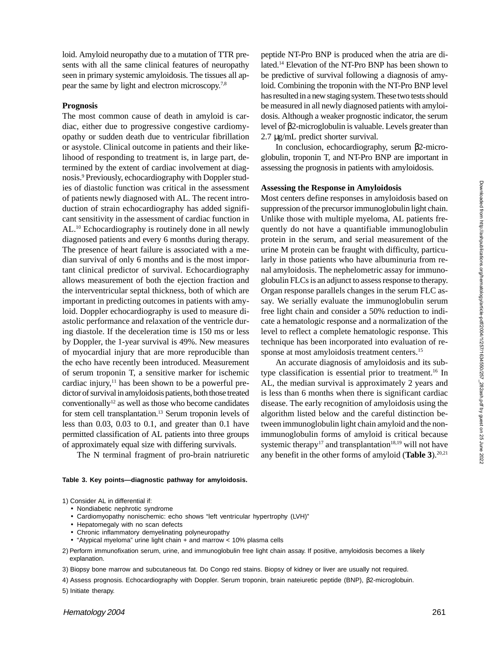loid. Amyloid neuropathy due to a mutation of TTR presents with all the same clinical features of neuropathy seen in primary systemic amyloidosis. The tissues all appear the same by light and electron microscopy.7,8

#### **Prognosis**

The most common cause of death in amyloid is cardiac, either due to progressive congestive cardiomyopathy or sudden death due to ventricular fibrillation or asystole. Clinical outcome in patients and their likelihood of responding to treatment is, in large part, determined by the extent of cardiac involvement at diagnosis.9 Previously, echocardiography with Doppler studies of diastolic function was critical in the assessment of patients newly diagnosed with AL. The recent introduction of strain echocardiography has added significant sensitivity in the assessment of cardiac function in AL.10 Echocardiography is routinely done in all newly diagnosed patients and every 6 months during therapy. The presence of heart failure is associated with a median survival of only 6 months and is the most important clinical predictor of survival. Echocardiography allows measurement of both the ejection fraction and the interventricular septal thickness, both of which are important in predicting outcomes in patients with amyloid. Doppler echocardiography is used to measure diastolic performance and relaxation of the ventricle during diastole. If the deceleration time is 150 ms or less by Doppler, the 1-year survival is 49%. New measures of myocardial injury that are more reproducible than the echo have recently been introduced. Measurement of serum troponin T, a sensitive marker for ischemic cardiac injury, $11$  has been shown to be a powerful predictor of survival in amyloidosis patients, both those treated conventionally<sup>12</sup> as well as those who become candidates for stem cell transplantation.13 Serum troponin levels of less than 0.03, 0.03 to 0.1, and greater than 0.1 have permitted classification of AL patients into three groups of approximately equal size with differing survivals.

The N terminal fragment of pro-brain natriuretic

#### **Table 3. Key points—diagnostic pathway for amyloidosis.**

1) Consider AL in differential if:

- Nondiabetic nephrotic syndrome
- Cardiomyopathy nonischemic: echo shows "left ventricular hypertrophy (LVH)"
- Hepatomegaly with no scan defects
- Chronic inflammatory demyelinating polyneuropathy
- "Atypical myeloma" urine light chain + and marrow < 10% plasma cells
- 2) Perform immunofixation serum, urine, and immunoglobulin free light chain assay. If positive, amyloidosis becomes a likely explanation.

3) Biopsy bone marrow and subcutaneous fat. Do Congo red stains. Biopsy of kidney or liver are usually not required.

4) Assess prognosis. Echocardiography with Doppler. Serum troponin, brain nateiuretic peptide (BNP), β2-microglobuin.

5) Initiate therapy.

peptide NT-Pro BNP is produced when the atria are dilated.14 Elevation of the NT-Pro BNP has been shown to be predictive of survival following a diagnosis of amyloid. Combining the troponin with the NT-Pro BNP level has resulted in a new staging system. These two tests should be measured in all newly diagnosed patients with amyloidosis. Although a weaker prognostic indicator, the serum level of β2-microglobulin is valuable. Levels greater than 2.7 µg/mL predict shorter survival.

In conclusion, echocardiography, serum β2-microglobulin, troponin T, and NT-Pro BNP are important in assessing the prognosis in patients with amyloidosis.

#### **Assessing the Response in Amyloidosis**

Most centers define responses in amyloidosis based on suppression of the precursor immunoglobulin light chain. Unlike those with multiple myeloma, AL patients frequently do not have a quantifiable immunoglobulin protein in the serum, and serial measurement of the urine M protein can be fraught with difficulty, particularly in those patients who have albuminuria from renal amyloidosis. The nephelometric assay for immunoglobulin FLCs is an adjunct to assess response to therapy. Organ response parallels changes in the serum FLC assay. We serially evaluate the immunoglobulin serum free light chain and consider a 50% reduction to indicate a hematologic response and a normalization of the level to reflect a complete hematologic response. This technique has been incorporated into evaluation of response at most amyloidosis treatment centers.<sup>15</sup>

An accurate diagnosis of amyloidosis and its subtype classification is essential prior to treatment.16 In AL, the median survival is approximately 2 years and is less than 6 months when there is significant cardiac disease. The early recognition of amyloidosis using the algorithm listed below and the careful distinction between immunoglobulin light chain amyloid and the nonimmunoglobulin forms of amyloid is critical because systemic therapy<sup>17</sup> and transplantation<sup>18,19</sup> will not have any benefit in the other forms of amyloid (Table 3).<sup>20,21</sup>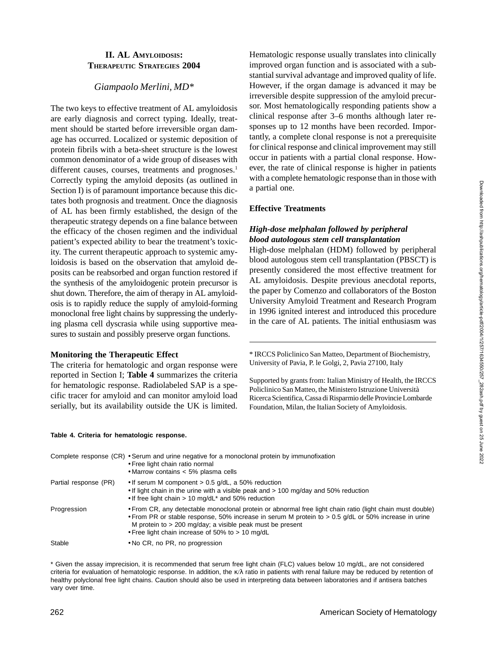# **II. AL AMYLOIDOSIS: THERAPEUTIC STRATEGIES 2004**

# *Giampaolo Merlini, MD\**

The two keys to effective treatment of AL amyloidosis are early diagnosis and correct typing. Ideally, treatment should be started before irreversible organ damage has occurred. Localized or systemic deposition of protein fibrils with a beta-sheet structure is the lowest common denominator of a wide group of diseases with different causes, courses, treatments and prognoses.<sup>1</sup> Correctly typing the amyloid deposits (as outlined in Section I) is of paramount importance because this dictates both prognosis and treatment. Once the diagnosis of AL has been firmly established, the design of the therapeutic strategy depends on a fine balance between the efficacy of the chosen regimen and the individual patient's expected ability to bear the treatment's toxicity. The current therapeutic approach to systemic amyloidosis is based on the observation that amyloid deposits can be reabsorbed and organ function restored if the synthesis of the amyloidogenic protein precursor is shut down. Therefore, the aim of therapy in AL amyloidosis is to rapidly reduce the supply of amyloid-forming monoclonal free light chains by suppressing the underlying plasma cell dyscrasia while using supportive measures to sustain and possibly preserve organ functions.

# **Monitoring the Therapeutic Effect**

The criteria for hematologic and organ response were reported in Section I; **Table 4** summarizes the criteria for hematologic response. Radiolabeled SAP is a specific tracer for amyloid and can monitor amyloid load serially, but its availability outside the UK is limited.

Hematologic response usually translates into clinically improved organ function and is associated with a substantial survival advantage and improved quality of life. However, if the organ damage is advanced it may be irreversible despite suppression of the amyloid precursor. Most hematologically responding patients show a clinical response after 3–6 months although later responses up to 12 months have been recorded. Importantly, a complete clonal response is not a prerequisite for clinical response and clinical improvement may still occur in patients with a partial clonal response. However, the rate of clinical response is higher in patients with a complete hematologic response than in those with a partial one.

# **Effective Treatments**

# *High-dose melphalan followed by peripheral blood autologous stem cell transplantation*

High-dose melphalan (HDM) followed by peripheral blood autologous stem cell transplantation (PBSCT) is presently considered the most effective treatment for AL amyloidosis. Despite previous anecdotal reports, the paper by Comenzo and collaborators of the Boston University Amyloid Treatment and Research Program in 1996 ignited interest and introduced this procedure in the care of AL patients. The initial enthusiasm was

\* IRCCS Policlinico San Matteo, Department of Biochemistry, University of Pavia, P. le Golgi, 2, Pavia 27100, Italy

Supported by grants from: Italian Ministry of Health, the IRCCS Policlinico San Matteo, the Ministero Istruzione Università Ricerca Scientifica, Cassa di Risparmio delle Provincie Lombarde Foundation, Milan, the Italian Society of Amyloidosis.

# **Table 4. Criteria for hematologic response.**

|                       | Complete response $(CR)$ $\bullet$ Serum and urine negative for a monoclonal protein by immunofixation<br>• Free light chain ratio normal<br>• Marrow contains < 5% plasma cells                                                                                                                                                       |
|-----------------------|----------------------------------------------------------------------------------------------------------------------------------------------------------------------------------------------------------------------------------------------------------------------------------------------------------------------------------------|
| Partial response (PR) | • If serum M component $> 0.5$ g/dL, a 50% reduction<br>• If light chain in the urine with a visible peak and > 100 mg/day and 50% reduction<br>• If free light chain $> 10$ mg/dL <sup>*</sup> and 50% reduction                                                                                                                      |
| Progression           | • From CR, any detectable monoclonal protein or abnormal free light chain ratio (light chain must double)<br>• From PR or stable response, 50% increase in serum M protein to > 0.5 g/dL or 50% increase in urine<br>M protein to $> 200$ mg/day; a visible peak must be present<br>• Free light chain increase of 50% to $> 10$ mg/dL |
| Stable                | • No CR, no PR, no progression                                                                                                                                                                                                                                                                                                         |

\* Given the assay imprecision, it is recommended that serum free light chain (FLC) values below 10 mg/dL, are not considered criteria for evaluation of hematologic response. In addition, the κ/λ ratio in patients with renal failure may be reduced by retention of healthy polyclonal free light chains. Caution should also be used in interpreting data between laboratories and if antisera batches vary over time.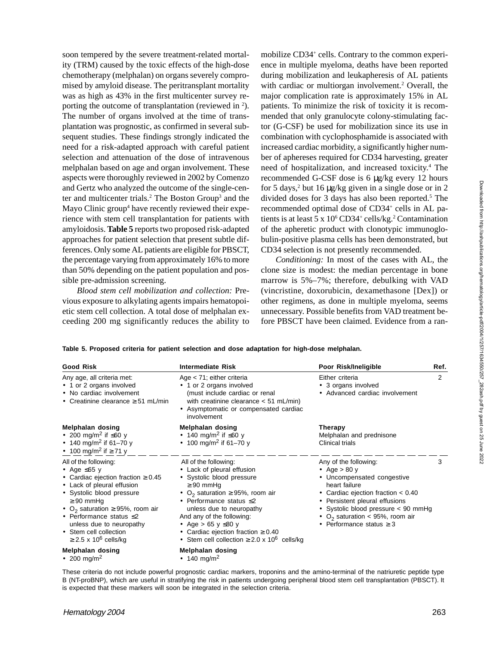soon tempered by the severe treatment-related mortality (TRM) caused by the toxic effects of the high-dose chemotherapy (melphalan) on organs severely compromised by amyloid disease. The peritransplant mortality was as high as 43% in the first multicenter survey reporting the outcome of transplantation (reviewed in <sup>2</sup>). The number of organs involved at the time of transplantation was prognostic, as confirmed in several subsequent studies. These findings strongly indicated the need for a risk-adapted approach with careful patient selection and attenuation of the dose of intravenous melphalan based on age and organ involvement. These aspects were thoroughly reviewed in 2002 by Comenzo and Gertz who analyzed the outcome of the single-center and multicenter trials.<sup>2</sup> The Boston Group<sup>3</sup> and the Mayo Clinic group<sup>4</sup> have recently reviewed their experience with stem cell transplantation for patients with amyloidosis. **Table 5** reports two proposed risk-adapted approaches for patient selection that present subtle differences. Only some AL patients are eligible for PBSCT, the percentage varying from approximately 16% to more than 50% depending on the patient population and possible pre-admission screening.

*Blood stem cell mobilization and collection:* Previous exposure to alkylating agents impairs hematopoietic stem cell collection. A total dose of melphalan exceeding 200 mg significantly reduces the ability to

mobilize CD34+ cells. Contrary to the common experience in multiple myeloma, deaths have been reported during mobilization and leukapheresis of AL patients with cardiac or multiorgan involvement.<sup>2</sup> Overall, the major complication rate is approximately 15% in AL patients. To minimize the risk of toxicity it is recommended that only granulocyte colony-stimulating factor (G-CSF) be used for mobilization since its use in combination with cyclophosphamide is associated with increased cardiac morbidity, a significantly higher number of aphereses required for CD34 harvesting, greater need of hospitalization, and increased toxicity.<sup>4</sup> The recommended G-CSF dose is 6 µg/kg every 12 hours for 5 days,<sup>2</sup> but 16 µg/kg given in a single dose or in 2 divided doses for 3 days has also been reported.<sup>5</sup> The recommended optimal dose of CD34<sup>+</sup> cells in AL patients is at least 5 x 10<sup>6</sup> CD34<sup>+</sup> cells/kg.<sup>2</sup> Contamination of the apheretic product with clonotypic immunoglobulin-positive plasma cells has been demonstrated, but CD34 selection is not presently recommended.

*Conditioning:* In most of the cases with AL, the clone size is modest: the median percentage in bone marrow is 5%–7%; therefore, debulking with VAD (vincristine, doxorubicin, dexamethasone [Dex]) or other regimens, as done in multiple myeloma, seems unnecessary. Possible benefits from VAD treatment before PBSCT have been claimed. Evidence from a ran-

**Table 5. Proposed criteria for patient selection and dose adaptation for high-dose melphalan.**

| <b>Good Risk</b>                                                                                                                                                                                                                                                                                                                                       | <b>Intermediate Risk</b>                                                                                                                                                                                                                                                                                                                                                          | Poor Risk/Ineligible                                                                                                                                                                                                                                                             | Ref. |
|--------------------------------------------------------------------------------------------------------------------------------------------------------------------------------------------------------------------------------------------------------------------------------------------------------------------------------------------------------|-----------------------------------------------------------------------------------------------------------------------------------------------------------------------------------------------------------------------------------------------------------------------------------------------------------------------------------------------------------------------------------|----------------------------------------------------------------------------------------------------------------------------------------------------------------------------------------------------------------------------------------------------------------------------------|------|
| Any age, all criteria met:<br>• 1 or 2 organs involved<br>• No cardiac involvement<br>• Creatinine clearance $\geq$ 51 mL/min                                                                                                                                                                                                                          | Age $<$ 71; either criteria<br>• 1 or 2 organs involved<br>(must include cardiac or renal<br>with creatinine clearance $<$ 51 mL/min)<br>• Asymptomatic or compensated cardiac<br>involvement                                                                                                                                                                                     | Either criteria<br>• 3 organs involved<br>• Advanced cardiac involvement                                                                                                                                                                                                         | 2    |
| <b>Melphalan dosing</b><br>• 200 mg/m <sup>2</sup> if $\leq 60$ y<br>• 140 mg/m <sup>2</sup> if 61–70 y<br>• 100 mg/m <sup>2</sup> if $\geq$ 71 y                                                                                                                                                                                                      | Melphalan dosing<br>• 140 mg/m <sup>2</sup> if $\leq 60$ y<br>• 100 mg/m <sup>2</sup> if 61–70 y                                                                                                                                                                                                                                                                                  | <b>Therapy</b><br>Melphalan and prednisone<br>Clinical trials                                                                                                                                                                                                                    |      |
| All of the following:<br>• Age $\leq 65$ y<br>• Cardiac ejection fraction $\geq 0.45$<br>• Lack of pleural effusion<br>• Systolic blood pressure<br>$\geq 90$ mmHg<br>• O <sub>2</sub> saturation $\geq$ 95%, room air<br>• Performance status $\leq$ 2<br>unless due to neuropathy<br>• Stem cell collection<br>$\geq$ 2.5 x 10 <sup>6</sup> cells/kg | All of the following:<br>• Lack of pleural effusion<br>• Systolic blood pressure<br>$\geq 90$ mmHq<br>• O <sub>2</sub> saturation $\geq$ 95%, room air<br>• Performance status $\leq$ 2<br>unless due to neuropathy<br>And any of the following:<br>• Age > 65 y $\leq 80$ y<br>• Cardiac ejection fraction $\geq 0.40$<br>• Stem cell collection $\geq 2.0 \times 10^6$ cells/kg | Any of the following:<br>• Age $> 80$ y<br>• Uncompensated congestive<br>heart failure<br>• Cardiac ejection fraction $< 0.40$<br>• Persistent pleural effusions<br>• Systolic blood pressure $< 90$ mmHg<br>• $O_2$ saturation < 95%, room air<br>• Performance status $\geq 3$ | 3    |
| <b>Melphalan dosing</b><br>• 200 mg/m <sup>2</sup>                                                                                                                                                                                                                                                                                                     | <b>Melphalan dosing</b><br>• 140 mg/m <sup>2</sup>                                                                                                                                                                                                                                                                                                                                |                                                                                                                                                                                                                                                                                  |      |

These criteria do not include powerful prognostic cardiac markers, troponins and the amino-terminal of the natriuretic peptide type B (NT-proBNP), which are useful in stratifying the risk in patients undergoing peripheral blood stem cell transplantation (PBSCT). It is expected that these markers will soon be integrated in the selection criteria.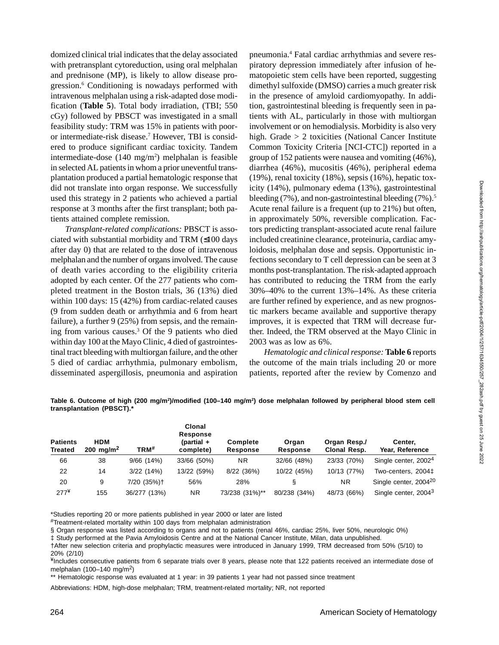domized clinical trial indicates that the delay associated with pretransplant cytoreduction, using oral melphalan and prednisone (MP), is likely to allow disease progression.<sup>6</sup> Conditioning is nowadays performed with intravenous melphalan using a risk-adapted dose modification (**Table 5**). Total body irradiation, (TBI; 550 cGy) followed by PBSCT was investigated in a small feasibility study: TRM was 15% in patients with pooror intermediate-risk disease.7 However, TBI is considered to produce significant cardiac toxicity. Tandem intermediate-dose  $(140 \text{ mg/m}^2)$  melphalan is feasible in selected AL patients in whom a prior uneventful transplantation produced a partial hematologic response that did not translate into organ response. We successfully used this strategy in 2 patients who achieved a partial response at 3 months after the first transplant; both patients attained complete remission.

*Transplant-related complications:* PBSCT is associated with substantial morbidity and TRM  $(\leq 100 \text{ days})$ after day 0) that are related to the dose of intravenous melphalan and the number of organs involved. The cause of death varies according to the eligibility criteria adopted by each center. Of the 277 patients who completed treatment in the Boston trials, 36 (13%) died within 100 days: 15 (42%) from cardiac-related causes (9 from sudden death or arrhythmia and 6 from heart failure), a further 9 (25%) from sepsis, and the remaining from various causes.3 Of the 9 patients who died within day 100 at the Mayo Clinic, 4 died of gastrointestinal tract bleeding with multiorgan failure, and the other 5 died of cardiac arrhythmia, pulmonary embolism, disseminated aspergillosis, pneumonia and aspiration

pneumonia.4 Fatal cardiac arrhythmias and severe respiratory depression immediately after infusion of hematopoietic stem cells have been reported, suggesting dimethyl sulfoxide (DMSO) carries a much greater risk in the presence of amyloid cardiomyopathy. In addition, gastrointestinal bleeding is frequently seen in patients with AL, particularly in those with multiorgan involvement or on hemodialysis. Morbidity is also very high. Grade > 2 toxicities (National Cancer Institute Common Toxicity Criteria [NCI-CTC]) reported in a group of 152 patients were nausea and vomiting (46%), diarrhea (46%), mucositis (46%), peripheral edema (19%), renal toxicity (18%), sepsis (16%), hepatic toxicity (14%), pulmonary edema (13%), gastrointestinal bleeding  $(7\%)$ , and non-gastrointestinal bleeding  $(7\%)$ .<sup>5</sup> Acute renal failure is a frequent (up to 21%) but often, in approximately 50%, reversible complication. Factors predicting transplant-associated acute renal failure included creatinine clearance, proteinuria, cardiac amyloidosis, melphalan dose and sepsis. Opportunistic infections secondary to T cell depression can be seen at 3 months post-transplantation. The risk-adapted approach has contributed to reducing the TRM from the early 30%–40% to the current 13%–14%. As these criteria are further refined by experience, and as new prognostic markers became available and supportive therapy improves, it is expected that TRM will decrease further. Indeed, the TRM observed at the Mayo Clinic in 2003 was as low as 6%.

*Hematologic and clinical response:* **Table 6** reports the outcome of the main trials including 20 or more patients, reported after the review by Comenzo and

Table 6. Outcome of high (200 mg/m²)/modified (100–140 mg/m²) dose melphalan followed by peripheral blood stem cell **transplantation (PBSCT).\***

| <b>Patients</b><br><b>Treated</b> | <b>HDM</b><br>200 mg/m <sup>2</sup> | TRM <sup>#</sup> | Clonal<br>Response<br>$(partial +$<br>complete) | <b>Complete</b><br>Response | Organ<br>Response | Organ Resp./<br>Clonal Resp. | Center.<br>Year, Reference        |
|-----------------------------------|-------------------------------------|------------------|-------------------------------------------------|-----------------------------|-------------------|------------------------------|-----------------------------------|
| 66                                | 38                                  | $9/66$ (14%)     | 33/66 (50%)                                     | <b>NR</b>                   | 32/66 (48%)       | 23/33 (70%)                  | Single center, 2002 <sup>4</sup>  |
| 22                                | 14                                  | $3/22$ (14%)     | 13/22 (59%)                                     | 8/22 (36%)                  | 10/22 (45%)       | 10/13 (77%)                  | Two-centers, 2004‡                |
| 20                                | 9                                   | 7/20 (35%)+      | 56%                                             | 28%                         |                   | <b>NR</b>                    | Single center, 2004 <sup>20</sup> |
| $277^{4}$                         | 155                                 | 36/277 (13%)     | ΝR                                              | 73/238 (31%)**              | 80/238 (34%)      | 48/73 (66%)                  | Single center, $20043$            |

\*Studies reporting 20 or more patients published in year 2000 or later are listed

#Treatment-related mortality within 100 days from melphalan administration

§ Organ response was listed according to organs and not to patients (renal 46%, cardiac 25%, liver 50%, neurologic 0%)

‡ Study performed at the Pavia Amyloidosis Centre and at the National Cancer Institute, Milan, data unpublished.

20% (2/10)

¥Includes consecutive patients from 6 separate trials over 8 years, please note that 122 patients received an intermediate dose of melphalan (100–140 mg/m2)

\*\* Hematologic response was evaluated at 1 year: in 39 patients 1 year had not passed since treatment

Abbreviations: HDM, high-dose melphalan; TRM, treatment-related mortality; NR, not reported

<sup>†</sup>After new selection criteria and prophylactic measures were introduced in January 1999, TRM decreased from 50% (5/10) to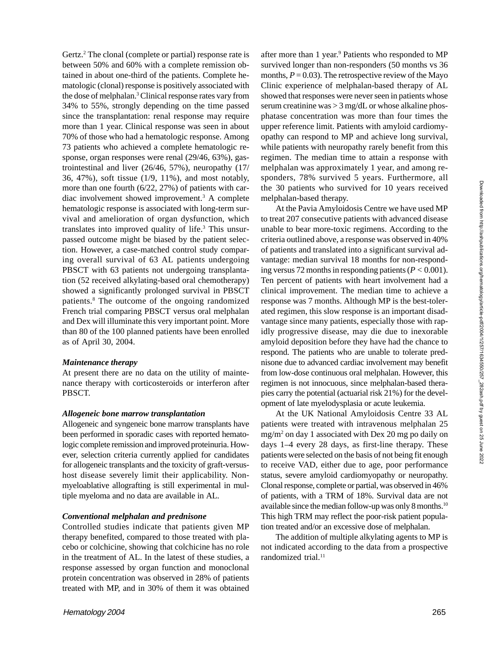Gertz.<sup>2</sup> The clonal (complete or partial) response rate is between 50% and 60% with a complete remission obtained in about one-third of the patients. Complete hematologic (clonal) response is positively associated with the dose of melphalan.<sup>3</sup> Clinical response rates vary from 34% to 55%, strongly depending on the time passed since the transplantation: renal response may require more than 1 year. Clinical response was seen in about 70% of those who had a hematologic response. Among 73 patients who achieved a complete hematologic response, organ responses were renal (29/46, 63%), gastrointestinal and liver (26/46, 57%), neuropathy (17/ 36, 47%), soft tissue (1/9, 11%), and most notably, more than one fourth (6/22, 27%) of patients with cardiac involvement showed improvement.<sup>3</sup> A complete hematologic response is associated with long-term survival and amelioration of organ dysfunction, which translates into improved quality of life.<sup>3</sup> This unsurpassed outcome might be biased by the patient selection. However, a case-matched control study comparing overall survival of 63 AL patients undergoing PBSCT with 63 patients not undergoing transplantation (52 received alkylating-based oral chemotherapy) showed a significantly prolonged survival in PBSCT patients.<sup>8</sup> The outcome of the ongoing randomized French trial comparing PBSCT versus oral melphalan and Dex will illuminate this very important point. More than 80 of the 100 planned patients have been enrolled as of April 30, 2004.

# *Maintenance therapy*

At present there are no data on the utility of maintenance therapy with corticosteroids or interferon after PBSCT.

# *Allogeneic bone marrow transplantation*

Allogeneic and syngeneic bone marrow transplants have been performed in sporadic cases with reported hematologic complete remission and improved proteinuria. However, selection criteria currently applied for candidates for allogeneic transplants and the toxicity of graft-versushost disease severely limit their applicability. Nonmyeloablative allografting is still experimental in multiple myeloma and no data are available in AL.

# *Conventional melphalan and prednisone*

Controlled studies indicate that patients given MP therapy benefited, compared to those treated with placebo or colchicine, showing that colchicine has no role in the treatment of AL. In the latest of these studies, a response assessed by organ function and monoclonal protein concentration was observed in 28% of patients treated with MP, and in 30% of them it was obtained

after more than 1 year.<sup>9</sup> Patients who responded to MP survived longer than non-responders (50 months vs 36 months,  $P = 0.03$ ). The retrospective review of the Mayo Clinic experience of melphalan-based therapy of AL showed that responses were never seen in patients whose serum creatinine was  $>$  3 mg/dL or whose alkaline phosphatase concentration was more than four times the upper reference limit. Patients with amyloid cardiomyopathy can respond to MP and achieve long survival, while patients with neuropathy rarely benefit from this regimen. The median time to attain a response with melphalan was approximately 1 year, and among responders, 78% survived 5 years. Furthermore, all the 30 patients who survived for 10 years received melphalan-based therapy.

At the Pavia Amyloidosis Centre we have used MP to treat 207 consecutive patients with advanced disease unable to bear more-toxic regimens. According to the criteria outlined above, a response was observed in 40% of patients and translated into a significant survival advantage: median survival 18 months for non-responding versus 72 months in responding patients  $(P < 0.001)$ . Ten percent of patients with heart involvement had a clinical improvement. The median time to achieve a response was 7 months. Although MP is the best-tolerated regimen, this slow response is an important disadvantage since many patients, especially those with rapidly progressive disease, may die due to inexorable amyloid deposition before they have had the chance to respond. The patients who are unable to tolerate prednisone due to advanced cardiac involvement may benefit from low-dose continuous oral melphalan. However, this regimen is not innocuous, since melphalan-based therapies carry the potential (actuarial risk 21%) for the development of late myelodysplasia or acute leukemia.

At the UK National Amyloidosis Centre 33 AL patients were treated with intravenous melphalan 25 mg/m2 on day 1 associated with Dex 20 mg po daily on days 1–4 every 28 days, as first-line therapy. These patients were selected on the basis of not being fit enough to receive VAD, either due to age, poor performance status, severe amyloid cardiomyopathy or neuropathy. Clonal response, complete or partial, was observed in 46% of patients, with a TRM of 18%. Survival data are not available since the median follow-up was only 8 months.10 This high TRM may reflect the poor-risk patient population treated and/or an excessive dose of melphalan.

The addition of multiple alkylating agents to MP is not indicated according to the data from a prospective randomized trial.<sup>11</sup>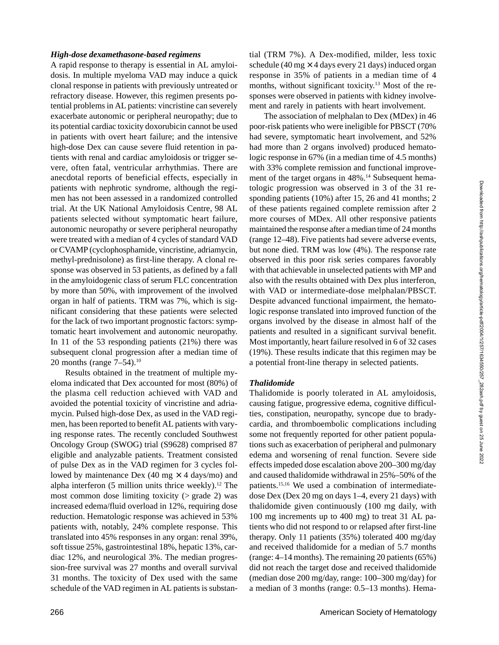# *High-dose dexamethasone-based regimens*

A rapid response to therapy is essential in AL amyloidosis. In multiple myeloma VAD may induce a quick clonal response in patients with previously untreated or refractory disease. However, this regimen presents potential problems in AL patients: vincristine can severely exacerbate autonomic or peripheral neuropathy; due to its potential cardiac toxicity doxorubicin cannot be used in patients with overt heart failure; and the intensive high-dose Dex can cause severe fluid retention in patients with renal and cardiac amyloidosis or trigger severe, often fatal, ventricular arrhythmias. There are anecdotal reports of beneficial effects, especially in patients with nephrotic syndrome, although the regimen has not been assessed in a randomized controlled trial. At the UK National Amyloidosis Centre, 98 AL patients selected without symptomatic heart failure, autonomic neuropathy or severe peripheral neuropathy were treated with a median of 4 cycles of standard VAD or CVAMP (cyclophosphamide, vincristine, adriamycin, methyl-prednisolone) as first-line therapy. A clonal response was observed in 53 patients, as defined by a fall in the amyloidogenic class of serum FLC concentration by more than 50%, with improvement of the involved organ in half of patients. TRM was 7%, which is significant considering that these patients were selected for the lack of two important prognostic factors: symptomatic heart involvement and autonomic neuropathy. In 11 of the 53 responding patients (21%) there was subsequent clonal progression after a median time of 20 months (range  $7-54$ ).<sup>10</sup>

Results obtained in the treatment of multiple myeloma indicated that Dex accounted for most (80%) of the plasma cell reduction achieved with VAD and avoided the potential toxicity of vincristine and adriamycin. Pulsed high-dose Dex, as used in the VAD regimen, has been reported to benefit AL patients with varying response rates. The recently concluded Southwest Oncology Group (SWOG) trial (S9628) comprised 87 eligible and analyzable patients. Treatment consisted of pulse Dex as in the VAD regimen for 3 cycles followed by maintenance Dex (40 mg  $\times$  4 days/mo) and alpha interferon  $(5 \text{ million units}$  thrice weekly).<sup>12</sup> The most common dose limiting toxicity (> grade 2) was increased edema/fluid overload in 12%, requiring dose reduction. Hematologic response was achieved in 53% patients with, notably, 24% complete response. This translated into 45% responses in any organ: renal 39%, soft tissue 25%, gastrointestinal 18%, hepatic 13%, cardiac 12%, and neurological 3%. The median progression-free survival was 27 months and overall survival 31 months. The toxicity of Dex used with the same schedule of the VAD regimen in AL patients is substantial (TRM 7%). A Dex-modified, milder, less toxic schedule (40 mg  $\times$  4 days every 21 days) induced organ response in 35% of patients in a median time of 4 months, without significant toxicity.<sup>13</sup> Most of the responses were observed in patients with kidney involvement and rarely in patients with heart involvement.

The association of melphalan to Dex (MDex) in 46 poor-risk patients who were ineligible for PBSCT (70% had severe, symptomatic heart involvement, and 52% had more than 2 organs involved) produced hematologic response in 67% (in a median time of 4.5 months) with 33% complete remission and functional improvement of the target organs in 48%.<sup>14</sup> Subsequent hematologic progression was observed in 3 of the 31 responding patients (10%) after 15, 26 and 41 months; 2 of these patients regained complete remission after 2 more courses of MDex. All other responsive patients maintained the response after a median time of 24 months (range 12–48). Five patients had severe adverse events, but none died. TRM was low (4%). The response rate observed in this poor risk series compares favorably with that achievable in unselected patients with MP and also with the results obtained with Dex plus interferon, with VAD or intermediate-dose melphalan/PBSCT. Despite advanced functional impairment, the hematologic response translated into improved function of the organs involved by the disease in almost half of the patients and resulted in a significant survival benefit. Most importantly, heart failure resolved in 6 of 32 cases (19%). These results indicate that this regimen may be a potential front-line therapy in selected patients.

#### *Thalidomide*

Thalidomide is poorly tolerated in AL amyloidosis, causing fatigue, progressive edema, cognitive difficulties, constipation, neuropathy, syncope due to bradycardia, and thromboembolic complications including some not frequently reported for other patient populations such as exacerbation of peripheral and pulmonary edema and worsening of renal function. Severe side effects impeded dose escalation above 200–300 mg/day and caused thalidomide withdrawal in 25%–50% of the patients.15,16 We used a combination of intermediatedose Dex (Dex 20 mg on days 1–4, every 21 days) with thalidomide given continuously (100 mg daily, with 100 mg increments up to 400 mg) to treat 31 AL patients who did not respond to or relapsed after first-line therapy. Only 11 patients (35%) tolerated 400 mg/day and received thalidomide for a median of 5.7 months (range: 4–14 months). The remaining 20 patients (65%) did not reach the target dose and received thalidomide (median dose 200 mg/day, range: 100–300 mg/day) for a median of 3 months (range: 0.5–13 months). Hema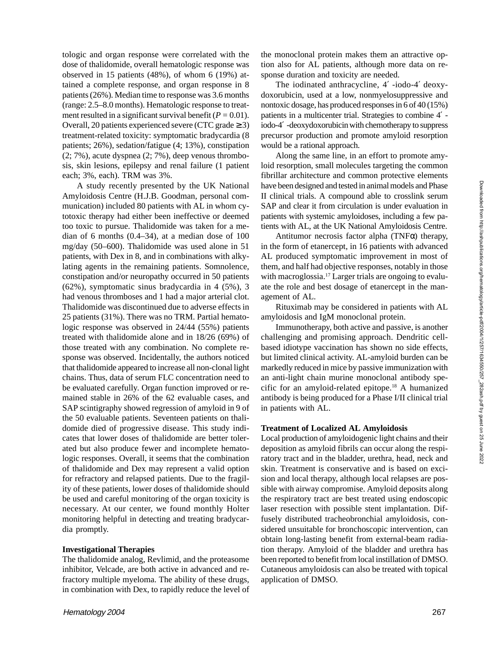tologic and organ response were correlated with the dose of thalidomide, overall hematologic response was observed in 15 patients (48%), of whom 6 (19%) attained a complete response, and organ response in 8 patients (26%). Median time to response was 3.6 months (range: 2.5–8.0 months). Hematologic response to treatment resulted in a significant survival benefit ( $P = 0.01$ ). Overall, 20 patients experienced severe (CTC grade  $\geq$  3) treatment-related toxicity: symptomatic bradycardia (8 patients; 26%), sedation/fatigue (4; 13%), constipation (2; 7%), acute dyspnea (2; 7%), deep venous thrombosis, skin lesions, epilepsy and renal failure (1 patient each; 3%, each). TRM was 3%.

A study recently presented by the UK National Amyloidosis Centre (H.J.B. Goodman, personal communication) included 80 patients with AL in whom cytotoxic therapy had either been ineffective or deemed too toxic to pursue. Thalidomide was taken for a median of 6 months (0.4–34), at a median dose of 100 mg/day (50–600). Thalidomide was used alone in 51 patients, with Dex in 8, and in combinations with alkylating agents in the remaining patients. Somnolence, constipation and/or neuropathy occurred in 50 patients (62%), symptomatic sinus bradycardia in 4 (5%), 3 had venous thromboses and 1 had a major arterial clot. Thalidomide was discontinued due to adverse effects in 25 patients (31%). There was no TRM. Partial hematologic response was observed in 24/44 (55%) patients treated with thalidomide alone and in 18/26 (69%) of those treated with any combination. No complete response was observed. Incidentally, the authors noticed that thalidomide appeared to increase all non-clonal light chains. Thus, data of serum FLC concentration need to be evaluated carefully. Organ function improved or remained stable in 26% of the 62 evaluable cases, and SAP scintigraphy showed regression of amyloid in 9 of the 50 evaluable patients. Seventeen patients on thalidomide died of progressive disease. This study indicates that lower doses of thalidomide are better tolerated but also produce fewer and incomplete hematologic responses. Overall, it seems that the combination of thalidomide and Dex may represent a valid option for refractory and relapsed patients. Due to the fragility of these patients, lower doses of thalidomide should be used and careful monitoring of the organ toxicity is necessary. At our center, we found monthly Holter monitoring helpful in detecting and treating bradycardia promptly.

#### **Investigational Therapies**

The thalidomide analog, Revlimid, and the proteasome inhibitor, Velcade, are both active in advanced and refractory multiple myeloma. The ability of these drugs, in combination with Dex, to rapidly reduce the level of the monoclonal protein makes them an attractive option also for AL patients, although more data on response duration and toxicity are needed.

The iodinated anthracycline, 4'-iodo-4' deoxydoxorubicin, used at a low, nonmyelosuppressive and nontoxic dosage, has produced responses in 6 of 40 (15%) patients in a multicenter trial. Strategies to combine 4′ iodo-4′ -deoxydoxorubicin with chemotherapy to suppress precursor production and promote amyloid resorption would be a rational approach.

Along the same line, in an effort to promote amyloid resorption, small molecules targeting the common fibrillar architecture and common protective elements have been designed and tested in animal models and Phase II clinical trials. A compound able to crosslink serum SAP and clear it from circulation is under evaluation in patients with systemic amyloidoses, including a few patients with AL, at the UK National Amyloidosis Centre.

Antitumor necrosis factor alpha (TNF $\alpha$ ) therapy, in the form of etanercept, in 16 patients with advanced AL produced symptomatic improvement in most of them, and half had objective responses, notably in those with macroglossia.<sup>17</sup> Larger trials are ongoing to evaluate the role and best dosage of etanercept in the management of AL.

Rituximab may be considered in patients with AL amyloidosis and IgM monoclonal protein.

Immunotherapy, both active and passive, is another challenging and promising approach. Dendritic cellbased idiotype vaccination has shown no side effects, but limited clinical activity. AL-amyloid burden can be markedly reduced in mice by passive immunization with an anti-light chain murine monoclonal antibody specific for an amyloid-related epitope.18 A humanized antibody is being produced for a Phase I/II clinical trial in patients with AL.

#### **Treatment of Localized AL Amyloidosis**

Local production of amyloidogenic light chains and their deposition as amyloid fibrils can occur along the respiratory tract and in the bladder, urethra, head, neck and skin. Treatment is conservative and is based on excision and local therapy, although local relapses are possible with airway compromise. Amyloid deposits along the respiratory tract are best treated using endoscopic laser resection with possible stent implantation. Diffusely distributed tracheobronchial amyloidosis, considered unsuitable for bronchoscopic intervention, can obtain long-lasting benefit from external-beam radiation therapy. Amyloid of the bladder and urethra has been reported to benefit from local instillation of DMSO. Cutaneous amyloidosis can also be treated with topical application of DMSO.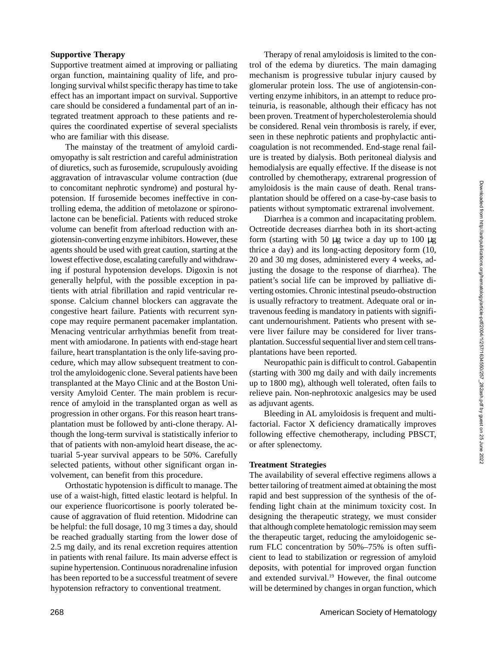# **Supportive Therapy**

Supportive treatment aimed at improving or palliating organ function, maintaining quality of life, and prolonging survival whilst specific therapy has time to take effect has an important impact on survival. Supportive care should be considered a fundamental part of an integrated treatment approach to these patients and requires the coordinated expertise of several specialists who are familiar with this disease.

The mainstay of the treatment of amyloid cardiomyopathy is salt restriction and careful administration of diuretics, such as furosemide, scrupulously avoiding aggravation of intravascular volume contraction (due to concomitant nephrotic syndrome) and postural hypotension. If furosemide becomes ineffective in controlling edema, the addition of metolazone or spironolactone can be beneficial. Patients with reduced stroke volume can benefit from afterload reduction with angiotensin-converting enzyme inhibitors. However, these agents should be used with great caution, starting at the lowest effective dose, escalating carefully and withdrawing if postural hypotension develops. Digoxin is not generally helpful, with the possible exception in patients with atrial fibrillation and rapid ventricular response. Calcium channel blockers can aggravate the congestive heart failure. Patients with recurrent syncope may require permanent pacemaker implantation. Menacing ventricular arrhythmias benefit from treatment with amiodarone. In patients with end-stage heart failure, heart transplantation is the only life-saving procedure, which may allow subsequent treatment to control the amyloidogenic clone. Several patients have been transplanted at the Mayo Clinic and at the Boston University Amyloid Center. The main problem is recurrence of amyloid in the transplanted organ as well as progression in other organs. For this reason heart transplantation must be followed by anti-clone therapy. Although the long-term survival is statistically inferior to that of patients with non-amyloid heart disease, the actuarial 5-year survival appears to be 50%. Carefully selected patients, without other significant organ involvement, can benefit from this procedure.

Orthostatic hypotension is difficult to manage. The use of a waist-high, fitted elastic leotard is helpful. In our experience fluoricortisone is poorly tolerated because of aggravation of fluid retention. Midodrine can be helpful: the full dosage, 10 mg 3 times a day, should be reached gradually starting from the lower dose of 2.5 mg daily, and its renal excretion requires attention in patients with renal failure. Its main adverse effect is supine hypertension. Continuous noradrenaline infusion has been reported to be a successful treatment of severe hypotension refractory to conventional treatment.

verting enzyme inhibitors, in an attempt to reduce proteinuria, is reasonable, although their efficacy has not been proven. Treatment of hypercholesterolemia should be considered. Renal vein thrombosis is rarely, if ever, seen in these nephrotic patients and prophylactic anticoagulation is not recommended. End-stage renal failure is treated by dialysis. Both peritoneal dialysis and hemodialysis are equally effective. If the disease is not controlled by chemotherapy, extrarenal progression of amyloidosis is the main cause of death. Renal transplantation should be offered on a case-by-case basis to patients without symptomatic extrarenal involvement. Diarrhea is a common and incapacitating problem. Octreotide decreases diarrhea both in its short-acting form (starting with 50  $\mu$ g twice a day up to 100  $\mu$ g thrice a day) and its long-acting depository form (10,

Therapy of renal amyloidosis is limited to the control of the edema by diuretics. The main damaging mechanism is progressive tubular injury caused by glomerular protein loss. The use of angiotensin-con-

20 and 30 mg doses, administered every 4 weeks, adjusting the dosage to the response of diarrhea). The patient's social life can be improved by palliative diverting ostomies. Chronic intestinal pseudo-obstruction is usually refractory to treatment. Adequate oral or intravenous feeding is mandatory in patients with significant undernourishment. Patients who present with severe liver failure may be considered for liver transplantation. Successful sequential liver and stem cell transplantations have been reported.

Neuropathic pain is difficult to control. Gabapentin (starting with 300 mg daily and with daily increments up to 1800 mg), although well tolerated, often fails to relieve pain. Non-nephrotoxic analgesics may be used as adjuvant agents.

Bleeding in AL amyloidosis is frequent and multifactorial. Factor X deficiency dramatically improves following effective chemotherapy, including PBSCT, or after splenectomy.

# **Treatment Strategies**

The availability of several effective regimens allows a better tailoring of treatment aimed at obtaining the most rapid and best suppression of the synthesis of the offending light chain at the minimum toxicity cost. In designing the therapeutic strategy, we must consider that although complete hematologic remission may seem the therapeutic target, reducing the amyloidogenic serum FLC concentration by 50%–75% is often sufficient to lead to stabilization or regression of amyloid deposits, with potential for improved organ function and extended survival.<sup>19</sup> However, the final outcome will be determined by changes in organ function, which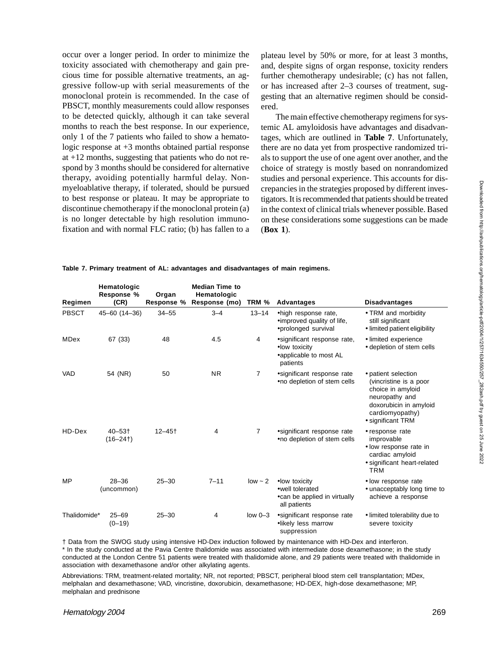occur over a longer period. In order to minimize the toxicity associated with chemotherapy and gain precious time for possible alternative treatments, an aggressive follow-up with serial measurements of the monoclonal protein is recommended. In the case of PBSCT, monthly measurements could allow responses to be detected quickly, although it can take several months to reach the best response. In our experience, only 1 of the 7 patients who failed to show a hematologic response at +3 months obtained partial response at +12 months, suggesting that patients who do not respond by 3 months should be considered for alternative therapy, avoiding potentially harmful delay. Nonmyeloablative therapy, if tolerated, should be pursued to best response or plateau. It may be appropriate to discontinue chemotherapy if the monoclonal protein (a) is no longer detectable by high resolution immunofixation and with normal FLC ratio; (b) has fallen to a

plateau level by 50% or more, for at least 3 months, and, despite signs of organ response, toxicity renders further chemotherapy undesirable; (c) has not fallen, or has increased after 2–3 courses of treatment, suggesting that an alternative regimen should be considered.

The main effective chemotherapy regimens for systemic AL amyloidosis have advantages and disadvantages, which are outlined in **Table 7**. Unfortunately, there are no data yet from prospective randomized trials to support the use of one agent over another, and the choice of strategy is mostly based on nonrandomized studies and personal experience. This accounts for discrepancies in the strategies proposed by different investigators. It is recommended that patients should be treated in the context of clinical trials whenever possible. Based on these considerations some suggestions can be made (**Box 1**).

| Regimen      | Hematologic<br>Response %<br>(CR) | Organ<br>Response %    | <b>Median Time to</b><br>Hematologic<br>Response (mo) | TRM %        | Advantages                                                                          | <b>Disadvantages</b>                                                                                                                                   |
|--------------|-----------------------------------|------------------------|-------------------------------------------------------|--------------|-------------------------------------------------------------------------------------|--------------------------------------------------------------------------------------------------------------------------------------------------------|
| <b>PBSCT</b> | 45-60 (14-36)                     | $34 - 55$              | $3 - 4$                                               | $13 - 14$    | • high response rate,<br>•improved quality of life,<br>•prolonged survival          | • TRM and morbidity<br>still significant<br>• limited patient eligibility                                                                              |
| MDex         | 67 (33)                           | 48                     | 4.5                                                   | 4            | • significant response rate,<br>·low toxicity<br>•applicable to most AL<br>patients | • limited experience<br>· depletion of stem cells                                                                                                      |
| <b>VAD</b>   | 54 (NR)                           | 50                     | <b>NR</b>                                             | 7            | • significant response rate<br>•no depletion of stem cells                          | • patient selection<br>(vincristine is a poor<br>choice in amyloid<br>neuropathy and<br>doxorubicin in amyloid<br>cardiomyopathy)<br>• significant TRM |
| HD-Dex       | $40 - 53 +$<br>$(16 - 24)$        | $12 - 45$ <sup>+</sup> | 4                                                     | 7            | • significant response rate<br>•no depletion of stem cells                          | • response rate<br>improvable<br>• low response rate in<br>cardiac amyloid<br>• significant heart-related<br><b>TRM</b>                                |
| <b>MP</b>    | $28 - 36$<br>(uncommon)           | $25 - 30$              | $7 - 11$                                              | $low \sim 2$ | •low toxicity<br>• well tolerated<br>• can be applied in virtually<br>all patients  | • low response rate<br>• unacceptably long time to<br>achieve a response                                                                               |
| Thalidomide* | $25 - 69$<br>$(0 - 19)$           | $25 - 30$              | 4                                                     | low $0 - 3$  | • significant response rate<br>•likely less marrow<br>suppression                   | • limited tolerability due to<br>severe toxicity                                                                                                       |

#### **Table 7. Primary treatment of AL: advantages and disadvantages of main regimens.**

† Data from the SWOG study using intensive HD-Dex induction followed by maintenance with HD-Dex and interferon. \* In the study conducted at the Pavia Centre thalidomide was associated with intermediate dose dexamethasone; in the study conducted at the London Centre 51 patients were treated with thalidomide alone, and 29 patients were treated with thalidomide in association with dexamethasone and/or other alkylating agents.

Abbreviations: TRM, treatment-related mortality; NR, not reported; PBSCT, peripheral blood stem cell transplantation; MDex, melphalan and dexamethasone; VAD, vincristine, doxorubicin, dexamethasone; HD-DEX, high-dose dexamethasone; MP, melphalan and prednisone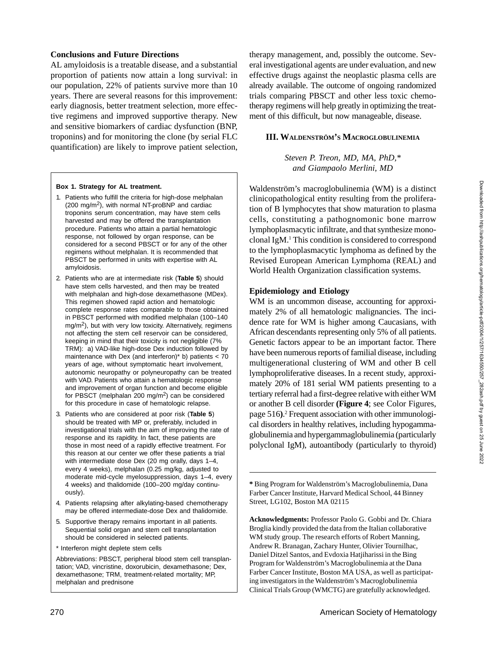# **Conclusions and Future Directions**

AL amyloidosis is a treatable disease, and a substantial proportion of patients now attain a long survival: in our population, 22% of patients survive more than 10 years. There are several reasons for this improvement: early diagnosis, better treatment selection, more effective regimens and improved supportive therapy. New and sensitive biomarkers of cardiac dysfunction (BNP, troponins) and for monitoring the clone (by serial FLC quantification) are likely to improve patient selection,

# **Box 1. Strategy for AL treatment.**

- 1. Patients who fulfill the criteria for high-dose melphalan (200 mg/m2), with normal NT-proBNP and cardiac troponins serum concentration, may have stem cells harvested and may be offered the transplantation procedure. Patients who attain a partial hematologic response, not followed by organ response, can be considered for a second PBSCT or for any of the other regimens without melphalan. It is recommended that PBSCT be performed in units with expertise with AL amyloidosis.
- 2. Patients who are at intermediate risk (**Table 5**) should have stem cells harvested, and then may be treated with melphalan and high-dose dexamethasone (MDex). This regimen showed rapid action and hematologic complete response rates comparable to those obtained in PBSCT performed with modified melphalan (100–140 mg/m2), but with very low toxicity. Alternatively, regimens not affecting the stem cell reservoir can be considered, keeping in mind that their toxicity is not negligible (7% TRM): a) VAD-like high-dose Dex induction followed by maintenance with Dex (and interferon)\* b) patients < 70 years of age, without symptomatic heart involvement, autonomic neuropathy or polyneuropathy can be treated with VAD. Patients who attain a hematologic response and improvement of organ function and become eligible for PBSCT (melphalan 200 mg/m2) can be considered for this procedure in case of hematologic relapse.
- 3. Patients who are considered at poor risk (**Table 5**) should be treated with MP or, preferably, included in investigational trials with the aim of improving the rate of response and its rapidity. In fact, these patients are those in most need of a rapidly effective treatment. For this reason at our center we offer these patients a trial with intermediate dose Dex (20 mg orally, days 1–4, every 4 weeks), melphalan (0.25 mg/kg, adjusted to moderate mid-cycle myelosuppression, days 1–4, every 4 weeks) and thalidomide (100–200 mg/day continuously).
- 4. Patients relapsing after alkylating-based chemotherapy may be offered intermediate-dose Dex and thalidomide.
- 5. Supportive therapy remains important in all patients. Sequential solid organ and stem cell transplantation should be considered in selected patients.
- \* Interferon might deplete stem cells

Abbreviations: PBSCT, peripheral blood stem cell transplantation; VAD, vincristine, doxorubicin, dexamethasone; Dex, dexamethasone; TRM, treatment-related mortality; MP, melphalan and prednisone

therapy management, and, possibly the outcome. Several investigational agents are under evaluation, and new effective drugs against the neoplastic plasma cells are already available. The outcome of ongoing randomized trials comparing PBSCT and other less toxic chemotherapy regimens will help greatly in optimizing the treatment of this difficult, but now manageable, disease.

# **III. WALDENSTRÖM'S MACROGLOBULINEMIA**

# *Steven P. Treon, MD, MA, PhD,\* and Giampaolo Merlini, MD*

Waldenström's macroglobulinemia (WM) is a distinct clinicopathological entity resulting from the proliferation of B lymphocytes that show maturation to plasma cells, constituting a pathognomonic bone marrow lymphoplasmacytic infiltrate, and that synthesize monoclonal IgM.1 This condition is considered to correspond to the lymphoplasmacytic lymphoma as defined by the Revised European American Lymphoma (REAL) and World Health Organization classification systems.

# **Epidemiology and Etiology**

WM is an uncommon disease, accounting for approximately 2% of all hematologic malignancies. The incidence rate for WM is higher among Caucasians, with African descendants representing only 5% of all patients. Genetic factors appear to be an important factor. There have been numerous reports of familial disease, including multigenerational clustering of WM and other B cell lymphoproliferative diseases.In a recent study, approximately 20% of 181 serial WM patients presenting to a tertiary referral had a first-degree relative with either WM or another B cell disorder **(Figure 4**; see Color Figures, page 516**)**. 2 Frequent association with other immunological disorders in healthy relatives, including hypogammaglobulinemia and hypergammaglobulinemia (particularly polyclonal IgM), autoantibody (particularly to thyroid)

**\*** Bing Program for Waldenström's Macroglobulinemia, Dana Farber Cancer Institute, Harvard Medical School, 44 Binney Street, LG102, Boston MA 02115

**Acknowledgments:** Professor Paolo G. Gobbi and Dr. Chiara Broglia kindly provided the data from the Italian collaborative WM study group. The research efforts of Robert Manning, Andrew R. Branagan, Zachary Hunter, Olivier Tournilhac, Daniel Ditzel Santos, and Evdoxia Hatjiharissi in the Bing Program for Waldenström's Macroglobulinemia at the Dana Farber Cancer Institute, Boston MA USA, as well as participating investigators in the Waldenström's Macroglobulinemia Clinical Trials Group (WMCTG) are gratefully acknowledged.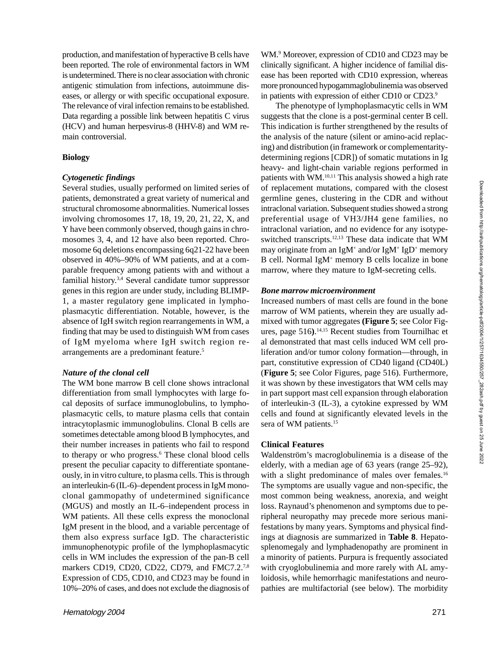production, and manifestation of hyperactive B cells have been reported. The role of environmental factors in WM is undetermined. There is no clear association with chronic antigenic stimulation from infections, autoimmune diseases, or allergy or with specific occupational exposure. The relevance of viral infection remains to be established. Data regarding a possible link between hepatitis C virus (HCV) and human herpesvirus-8 (HHV-8) and WM remain controversial.

# **Biology**

# *Cytogenetic findings*

Several studies, usually performed on limited series of patients, demonstrated a great variety of numerical and structural chromosome abnormalities. Numerical losses involving chromosomes 17, 18, 19, 20, 21, 22, X, and Y have been commonly observed, though gains in chromosomes 3, 4, and 12 have also been reported. Chromosome 6q deletions encompassing 6q21-22 have been observed in 40%–90% of WM patients, and at a comparable frequency among patients with and without a familial history.3,4 Several candidate tumor suppressor genes in this region are under study, including BLIMP-1, a master regulatory gene implicated in lymphoplasmacytic differentiation. Notable, however, is the absence of IgH switch region rearrangements in WM, a finding that may be used to distinguish WM from cases of IgM myeloma where IgH switch region rearrangements are a predominant feature.5

### *Nature of the clonal cell*

The WM bone marrow B cell clone shows intraclonal differentiation from small lymphocytes with large focal deposits of surface immunoglobulins, to lymphoplasmacytic cells, to mature plasma cells that contain intracytoplasmic immunoglobulins. Clonal B cells are sometimes detectable among blood B lymphocytes, and their number increases in patients who fail to respond to therapy or who progress.<sup>6</sup> These clonal blood cells present the peculiar capacity to differentiate spontaneously, in in vitro culture, to plasma cells. This is through an interleukin-6 (IL-6)–dependent process in IgM monoclonal gammopathy of undetermined significance (MGUS) and mostly an IL-6–independent process in WM patients. All these cells express the monoclonal IgM present in the blood, and a variable percentage of them also express surface IgD. The characteristic immunophenotypic profile of the lymphoplasmacytic cells in WM includes the expression of the pan-B cell markers CD19, CD20, CD22, CD79, and FMC7.2.<sup>7,8</sup> Expression of CD5, CD10, and CD23 may be found in 10%–20% of cases, and does not exclude the diagnosis of

WM.9 Moreover, expression of CD10 and CD23 may be clinically significant. A higher incidence of familial disease has been reported with CD10 expression, whereas more pronounced hypogammaglobulinemia was observed in patients with expression of either CD10 or CD23.9

The phenotype of lymphoplasmacytic cells in WM suggests that the clone is a post-germinal center B cell. This indication is further strengthened by the results of the analysis of the nature (silent or amino-acid replacing) and distribution (in framework or complementaritydetermining regions [CDR]) of somatic mutations in Ig heavy- and light-chain variable regions performed in patients with WM.10,11 This analysis showed a high rate of replacement mutations, compared with the closest germline genes, clustering in the CDR and without intraclonal variation. Subsequent studies showed a strong preferential usage of VH3/JH4 gene families, no intraclonal variation, and no evidence for any isotypeswitched transcripts. $12,13$  These data indicate that WM may originate from an IgM<sup>+</sup> and/or IgM<sup>+</sup> IgD<sup>+</sup> memory B cell. Normal IgM+ memory B cells localize in bone marrow, where they mature to IgM-secreting cells.

### *Bone marrow microenvironment*

Increased numbers of mast cells are found in the bone marrow of WM patients, wherein they are usually admixed with tumor aggregates **(Figure 5**; see Color Figures, page 516**)**. 14,15 Recent studies from Tournilhac et al demonstrated that mast cells induced WM cell proliferation and/or tumor colony formation—through, in part, constitutive expression of CD40 ligand (CD40L) (**Figure 5**; see Color Figures, page 516). Furthermore, it was shown by these investigators that WM cells may in part support mast cell expansion through elaboration of interleukin-3 (IL-3), a cytokine expressed by WM cells and found at significantly elevated levels in the sera of WM patients.<sup>15</sup>

#### **Clinical Features**

Waldenström's macroglobulinemia is a disease of the elderly, with a median age of 63 years (range 25–92), with a slight predominance of males over females.<sup>16</sup> The symptoms are usually vague and non-specific, the most common being weakness, anorexia, and weight loss. Raynaud's phenomenon and symptoms due to peripheral neuropathy may precede more serious manifestations by many years. Symptoms and physical findings at diagnosis are summarized in **Table 8**. Hepatosplenomegaly and lymphadenopathy are prominent in a minority of patients. Purpura is frequently associated with cryoglobulinemia and more rarely with AL amyloidosis, while hemorrhagic manifestations and neuropathies are multifactorial (see below). The morbidity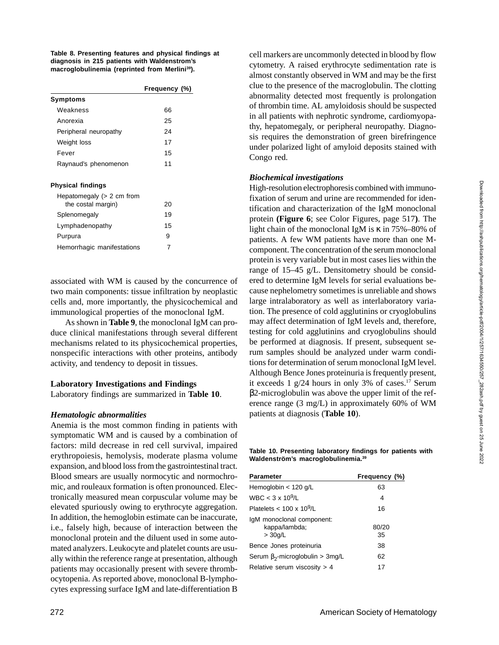**Table 8. Presenting features and physical findings at diagnosis in 215 patients with Waldenstrom's macroglobulinemia (reprinted from Merlini39).**

|                       | Frequency (%) |
|-----------------------|---------------|
| <b>Symptoms</b>       |               |
| Weakness              | 66            |
| Anorexia              | 25            |
| Peripheral neuropathy | 24            |
| Weight loss           | 17            |
| Fever                 | 15            |
| Raynaud's phenomenon  | 11            |

#### **Physical findings**

| Hepatomegaly $(> 2 \text{ cm from})$<br>the costal margin) | 20 |
|------------------------------------------------------------|----|
| Splenomegaly                                               | 19 |
| Lymphadenopathy                                            | 15 |
| Purpura                                                    | 9  |
| Hemorrhagic manifestations                                 |    |

associated with WM is caused by the concurrence of two main components: tissue infiltration by neoplastic cells and, more importantly, the physicochemical and immunological properties of the monoclonal IgM.

As shown in **Table 9**, the monoclonal IgM can produce clinical manifestations through several different mechanisms related to its physicochemical properties, nonspecific interactions with other proteins, antibody activity, and tendency to deposit in tissues.

# **Laboratory Investigations and Findings**

Laboratory findings are summarized in **Table 10**.

# *Hematologic abnormalities*

Anemia is the most common finding in patients with symptomatic WM and is caused by a combination of factors: mild decrease in red cell survival, impaired erythropoiesis, hemolysis, moderate plasma volume expansion, and blood loss from the gastrointestinal tract. Blood smears are usually normocytic and normochromic, and rouleaux formation is often pronounced. Electronically measured mean corpuscular volume may be elevated spuriously owing to erythrocyte aggregation. In addition, the hemoglobin estimate can be inaccurate, i.e., falsely high, because of interaction between the monoclonal protein and the diluent used in some automated analyzers. Leukocyte and platelet counts are usually within the reference range at presentation, although patients may occasionally present with severe thrombocytopenia. As reported above, monoclonal B-lymphocytes expressing surface IgM and late-differentiation B

cell markers are uncommonly detected in blood by flow cytometry. A raised erythrocyte sedimentation rate is almost constantly observed in WM and may be the first clue to the presence of the macroglobulin. The clotting abnormality detected most frequently is prolongation of thrombin time. AL amyloidosis should be suspected in all patients with nephrotic syndrome, cardiomyopathy, hepatomegaly, or peripheral neuropathy. Diagnosis requires the demonstration of green birefringence under polarized light of amyloid deposits stained with Congo red.

# *Biochemical investigations*

High-resolution electrophoresis combined with immunofixation of serum and urine are recommended for identification and characterization of the IgM monoclonal protein **(Figure 6**; see Color Figures, page 517**)**. The light chain of the monoclonal IgM is  $\kappa$  in 75%–80% of patients. A few WM patients have more than one Mcomponent. The concentration of the serum monoclonal protein is very variable but in most cases lies within the range of 15–45 g/L. Densitometry should be considered to determine IgM levels for serial evaluations because nephelometry sometimes is unreliable and shows large intralaboratory as well as interlaboratory variation. The presence of cold agglutinins or cryoglobulins may affect determination of IgM levels and, therefore, testing for cold agglutinins and cryoglobulins should be performed at diagnosis. If present, subsequent serum samples should be analyzed under warm conditions for determination of serum monoclonal IgM level. Although Bence Jones proteinuria is frequently present, it exceeds  $1 \frac{g}{24}$  hours in only 3% of cases.<sup>17</sup> Serum β2-microglobulin was above the upper limit of the reference range (3 mg/L) in approximately 60% of WM patients at diagnosis (**Table 10**).

#### **Table 10. Presenting laboratory findings for patients with Waldenström's macroglobulinemia.39**

| Parameter                                               | Frequency (%) |
|---------------------------------------------------------|---------------|
| Hemoglobin < 120 g/L                                    | 63            |
| WBC $< 3 \times 10^9$ /L                                | 4             |
| Platelets $<$ 100 x 10 <sup>9</sup> /L                  | 16            |
| IgM monoclonal component:<br>kappa/lambda;<br>$>$ 30g/L | 80/20<br>35   |
| Bence Jones proteinuria                                 | 38            |
| Serum $\beta_2$ -microglobulin > 3mg/L                  | 62            |
| Relative serum viscosity > 4                            | 17            |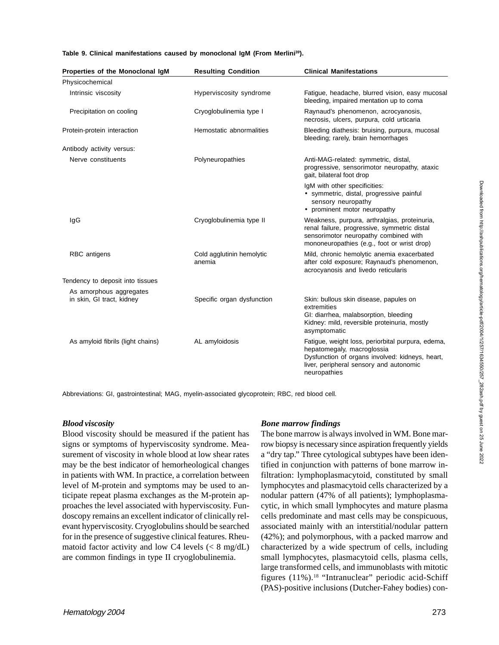#### **Table 9. Clinical manifestations caused by monoclonal IgM (From Merlini39).**

| Properties of the Monoclonal IgM  | <b>Resulting Condition</b>          | <b>Clinical Manifestations</b>                                                                                                                                                                |
|-----------------------------------|-------------------------------------|-----------------------------------------------------------------------------------------------------------------------------------------------------------------------------------------------|
| Physicochemical                   |                                     |                                                                                                                                                                                               |
| Intrinsic viscosity               | Hyperviscosity syndrome             | Fatigue, headache, blurred vision, easy mucosal<br>bleeding, impaired mentation up to coma                                                                                                    |
| Precipitation on cooling          | Cryoglobulinemia type I             | Raynaud's phenomenon, acrocyanosis,<br>necrosis, ulcers, purpura, cold urticaria                                                                                                              |
| Protein-protein interaction       | Hemostatic abnormalities            | Bleeding diathesis: bruising, purpura, mucosal<br>bleeding; rarely, brain hemorrhages                                                                                                         |
| Antibody activity versus:         |                                     |                                                                                                                                                                                               |
| Nerve constituents                | Polyneuropathies                    | Anti-MAG-related: symmetric, distal,<br>progressive, sensorimotor neuropathy, ataxic<br>gait, bilateral foot drop                                                                             |
|                                   |                                     | IgM with other specificities:<br>• symmetric, distal, progressive painful<br>sensory neuropathy<br>• prominent motor neuropathy                                                               |
| lgG                               | Cryoglobulinemia type II            | Weakness, purpura, arthralgias, proteinuria,<br>renal failure, progressive, symmetric distal<br>sensorimotor neuropathy combined with<br>mononeuropathies (e.g., foot or wrist drop)          |
| RBC antigens                      | Cold agglutinin hemolytic<br>anemia | Mild, chronic hemolytic anemia exacerbated<br>after cold exposure; Raynaud's phenomenon,<br>acrocyanosis and livedo reticularis                                                               |
| Tendency to deposit into tissues  |                                     |                                                                                                                                                                                               |
| As amorphous aggregates           |                                     |                                                                                                                                                                                               |
| in skin, GI tract, kidney         | Specific organ dysfunction          | Skin: bullous skin disease, papules on<br>extremities<br>GI: diarrhea, malabsorption, bleeding<br>Kidney: mild, reversible proteinuria, mostly<br>asymptomatic                                |
| As amyloid fibrils (light chains) | AL amyloidosis                      | Fatigue, weight loss, periorbital purpura, edema,<br>hepatomegaly, macroglossia<br>Dysfunction of organs involved: kidneys, heart,<br>liver, peripheral sensory and autonomic<br>neuropathies |

Abbreviations: GI, gastrointestinal; MAG, myelin-associated glycoprotein; RBC, red blood cell.

# *Blood viscosity*

Blood viscosity should be measured if the patient has signs or symptoms of hyperviscosity syndrome. Measurement of viscosity in whole blood at low shear rates may be the best indicator of hemorheological changes in patients with WM. In practice, a correlation between level of M-protein and symptoms may be used to anticipate repeat plasma exchanges as the M-protein approaches the level associated with hyperviscosity. Fundoscopy remains an excellent indicator of clinically relevant hyperviscosity. Cryoglobulins should be searched for in the presence of suggestive clinical features. Rheumatoid factor activity and low C4 levels  $(< 8 \text{ mg/dL})$ are common findings in type II cryoglobulinemia.

# *Bone marrow findings*

The bone marrow is always involved in WM. Bone marrow biopsy is necessary since aspiration frequently yields a "dry tap." Three cytological subtypes have been identified in conjunction with patterns of bone marrow infiltration: lymphoplasmacytoid, constituted by small lymphocytes and plasmacytoid cells characterized by a nodular pattern (47% of all patients); lymphoplasmacytic, in which small lymphocytes and mature plasma cells predominate and mast cells may be conspicuous, associated mainly with an interstitial/nodular pattern (42%); and polymorphous, with a packed marrow and characterized by a wide spectrum of cells, including small lymphocytes, plasmacytoid cells, plasma cells, large transformed cells, and immunoblasts with mitotic figures (11%).18 "Intranuclear" periodic acid-Schiff (PAS)-positive inclusions (Dutcher-Fahey bodies) con-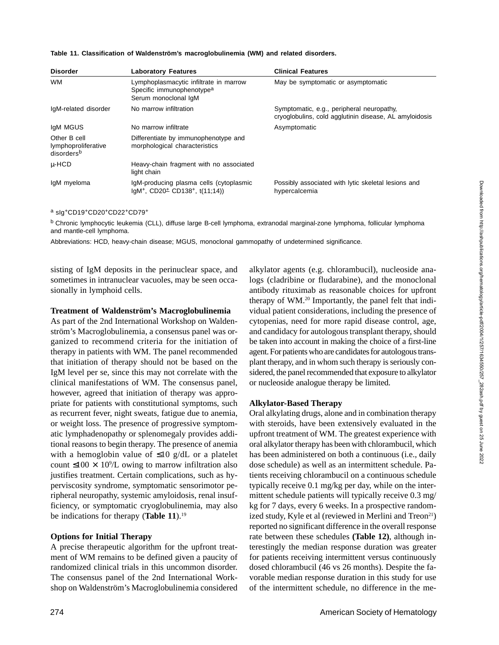|  |  | Table 11. Classification of Waldenström's macroglobulinemia (WM) and related disorders. |  |  |
|--|--|-----------------------------------------------------------------------------------------|--|--|
|  |  |                                                                                         |  |  |

| <b>Disorder</b>                                               | <b>Laboratory Features</b>                                                                                     | <b>Clinical Features</b>                                                                            |
|---------------------------------------------------------------|----------------------------------------------------------------------------------------------------------------|-----------------------------------------------------------------------------------------------------|
| <b>WM</b>                                                     | Lymphoplasmacytic infiltrate in marrow<br>Specific immunophenotype <sup>a</sup><br>Serum monoclonal IqM        | May be symptomatic or asymptomatic                                                                  |
| IgM-related disorder                                          | No marrow infiltration                                                                                         | Symptomatic, e.g., peripheral neuropathy,<br>cryoglobulins, cold agglutinin disease, AL amyloidosis |
| IgM MGUS                                                      | No marrow infiltrate                                                                                           | Asymptomatic                                                                                        |
| Other B cell<br>lymphoproliferative<br>disorders <sup>b</sup> | Differentiate by immunophenotype and<br>morphological characteristics                                          |                                                                                                     |
| u-HCD                                                         | Heavy-chain fragment with no associated<br>light chain                                                         |                                                                                                     |
| IgM myeloma                                                   | IgM-producing plasma cells (cytoplasmic<br>IgM <sup>+</sup> , CD20 <sup>±</sup> CD138 <sup>+</sup> , t(11;14)) | Possibly associated with lytic skeletal lesions and<br>hypercalcemia                                |

a sIg+CD19+CD20+CD22+CD79+

b Chronic lymphocytic leukemia (CLL), diffuse large B-cell lymphoma, extranodal marginal-zone lymphoma, follicular lymphoma and mantle-cell lymphoma.

Abbreviations: HCD, heavy-chain disease; MGUS, monoclonal gammopathy of undetermined significance.

sisting of IgM deposits in the perinuclear space, and sometimes in intranuclear vacuoles, may be seen occasionally in lymphoid cells.

### **Treatment of Waldenström's Macroglobulinemia**

As part of the 2nd International Workshop on Waldenström's Macroglobulinemia, a consensus panel was organized to recommend criteria for the initiation of therapy in patients with WM. The panel recommended that initiation of therapy should not be based on the IgM level per se, since this may not correlate with the clinical manifestations of WM. The consensus panel, however, agreed that initiation of therapy was appropriate for patients with constitutional symptoms, such as recurrent fever, night sweats, fatigue due to anemia, or weight loss. The presence of progressive symptomatic lymphadenopathy or splenomegaly provides additional reasons to begin therapy. The presence of anemia with a hemoglobin value of  $\leq 10$  g/dL or a platelet count  $\leq 100 \times 10^9$ /L owing to marrow infiltration also justifies treatment. Certain complications, such as hyperviscosity syndrome, symptomatic sensorimotor peripheral neuropathy, systemic amyloidosis, renal insufficiency, or symptomatic cryoglobulinemia, may also be indications for therapy (**Table 11**).<sup>19</sup>

# **Options for Initial Therapy**

A precise therapeutic algorithm for the upfront treatment of WM remains to be defined given a paucity of randomized clinical trials in this uncommon disorder. The consensus panel of the 2nd International Workshop on Waldenström's Macroglobulinemia considered

alkylator agents (e.g. chlorambucil), nucleoside analogs (cladribine or fludarabine), and the monoclonal antibody rituximab as reasonable choices for upfront therapy of WM.<sup>20</sup> Importantly, the panel felt that individual patient considerations, including the presence of cytopenias, need for more rapid disease control, age, and candidacy for autologous transplant therapy, should be taken into account in making the choice of a first-line agent. For patients who are candidates for autologous transplant therapy, and in whom such therapy is seriously considered, the panel recommended that exposure to alkylator or nucleoside analogue therapy be limited.

# **Alkylator-Based Therapy**

Oral alkylating drugs, alone and in combination therapy with steroids, have been extensively evaluated in the upfront treatment of WM. The greatest experience with oral alkylator therapy has been with chlorambucil, which has been administered on both a continuous (i.e., daily dose schedule) as well as an intermittent schedule. Patients receiving chlorambucil on a continuous schedule typically receive 0.1 mg/kg per day, while on the intermittent schedule patients will typically receive 0.3 mg/ kg for 7 days, every 6 weeks. In a prospective randomized study, Kyle et al (reviewed in Merlini and Treon<sup>21</sup>) reported no significant difference in the overall response rate between these schedules **(Table 12)**, although interestingly the median response duration was greater for patients receiving intermittent versus continuously dosed chlorambucil (46 vs 26 months). Despite the favorable median response duration in this study for use of the intermittent schedule, no difference in the me-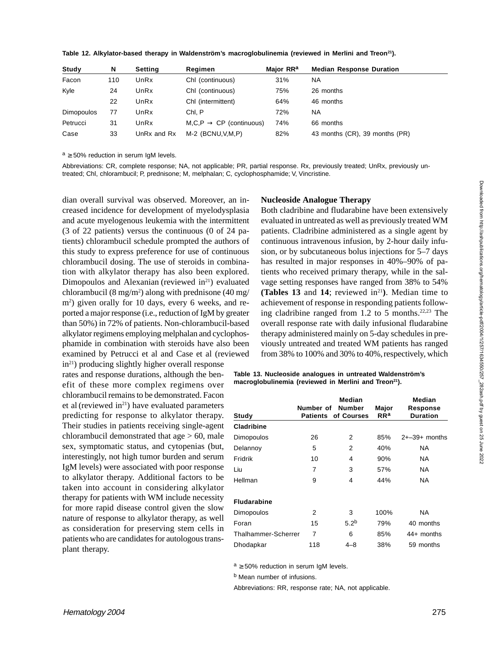Table 12. Alkylator-based therapy in Waldenström's macroglobulinemia (reviewed in Merlini and Treon<sup>21</sup>).

| Study             | N   | Setting     | Regimen                               | Major RR <sup>a</sup> | <b>Median Response Duration</b> |
|-------------------|-----|-------------|---------------------------------------|-----------------------|---------------------------------|
| Facon             | 110 | UnRx        | Chl (continuous)                      | 31%                   | ΝA                              |
| Kyle              | 24  | UnRx        | Chl (continuous)                      | 75%                   | 26 months                       |
|                   | 22  | UnRx        | Chl (intermittent)                    | 64%                   | 46 months                       |
| <b>Dimopoulos</b> | 77  | UnRx        | Chl. P                                | 72%                   | ΝA                              |
| Petrucci          | 31  | UnRx        | $M, C, P \rightarrow CP$ (continuous) | 74%                   | 66 months                       |
| Case              | 33  | UnRx and Rx | $M-2$ (BCNU, V, M, P)                 | 82%                   | 43 months (CR), 39 months (PR)  |

 $a \geq 50\%$  reduction in serum IgM levels.

Abbreviations: CR, complete response; NA, not applicable; PR, partial response. Rx, previously treated; UnRx, previously untreated; Chl, chlorambucil; P, prednisone; M, melphalan; C, cyclophosphamide; V, Vincristine.

dian overall survival was observed. Moreover, an increased incidence for development of myelodysplasia and acute myelogenous leukemia with the intermittent (3 of 22 patients) versus the continuous (0 of 24 patients) chlorambucil schedule prompted the authors of this study to express preference for use of continuous chlorambucil dosing. The use of steroids in combination with alkylator therapy has also been explored. Dimopoulos and Alexanian (reviewed  $in<sup>21</sup>$ ) evaluated chlorambucil  $(8 \text{ mg/m}^2)$  along with prednisone  $(40 \text{ mg/m}^2)$ m2 ) given orally for 10 days, every 6 weeks, and reported a major response (i.e., reduction of IgM by greater than 50%) in 72% of patients. Non-chlorambucil-based alkylator regimens employing melphalan and cyclophosphamide in combination with steroids have also been examined by Petrucci et al and Case et al (reviewed

in21) producing slightly higher overall response rates and response durations, although the benefit of these more complex regimens over chlorambucil remains to be demonstrated. Facon et al (reviewed  $in<sup>21</sup>$ ) have evaluated parameters predicting for response to alkylator therapy. Their studies in patients receiving single-agent chlorambucil demonstrated that age  $> 60$ , male sex, symptomatic status, and cytopenias (but, interestingly, not high tumor burden and serum IgM levels) were associated with poor response to alkylator therapy. Additional factors to be taken into account in considering alkylator therapy for patients with WM include necessity for more rapid disease control given the slow nature of response to alkylator therapy, as well as consideration for preserving stem cells in patients who are candidates for autologous transplant therapy.

### **Nucleoside Analogue Therapy**

Both cladribine and fludarabine have been extensively evaluated in untreated as well as previously treated WM patients. Cladribine administered as a single agent by continuous intravenous infusion, by 2-hour daily infusion, or by subcutaneous bolus injections for 5–7 days has resulted in major responses in 40%–90% of patients who received primary therapy, while in the salvage setting responses have ranged from 38% to 54% **(Tables 13 and 14; reviewed**  $in^{21}$ **). Median time to** achievement of response in responding patients following cladribine ranged from 1.2 to 5 months.<sup>22,23</sup> The overall response rate with daily infusional fludarabine therapy administered mainly on 5-day schedules in previously untreated and treated WM patients has ranged from 38% to 100% and 30% to 40%, respectively, which

#### **Table 13. Nucleoside analogues in untreated Waldenström's** macroglobulinemia (reviewed in Merlini and Treon<sup>21</sup>).

| Study               | Number of<br><b>Patients</b> | Median<br><b>Number</b><br>of Courses | Major<br>RRª | Median<br>Response<br><b>Duration</b> |
|---------------------|------------------------------|---------------------------------------|--------------|---------------------------------------|
| Cladribine          |                              |                                       |              |                                       |
| Dimopoulos          | 26                           | 2                                     | 85%          | $2+-39+$ months                       |
| Delannoy            | 5                            | 2                                     | 40%          | <b>NA</b>                             |
| Fridrik             | 10                           | 4                                     | 90%          | <b>NA</b>                             |
| Liu                 | 7                            | 3                                     | 57%          | NA.                                   |
| Hellman             | 9                            | 4                                     | 44%          | <b>NA</b>                             |
| <b>Fludarabine</b>  |                              |                                       |              |                                       |
| Dimopoulos          | 2                            | 3                                     | 100%         | <b>NA</b>                             |
| Foran               | 15                           | 5.2 <sup>b</sup>                      | 79%          | 40 months                             |
| Thalhammer-Scherrer | $\overline{7}$               | 6                                     | 85%          | $44+$ months                          |
| Dhodapkar           | 118                          | 4–8                                   | 38%          | 59 months                             |

 $a \ge 50\%$  reduction in serum IgM levels.

b Mean number of infusions.

Abbreviations: RR, response rate; NA, not applicable.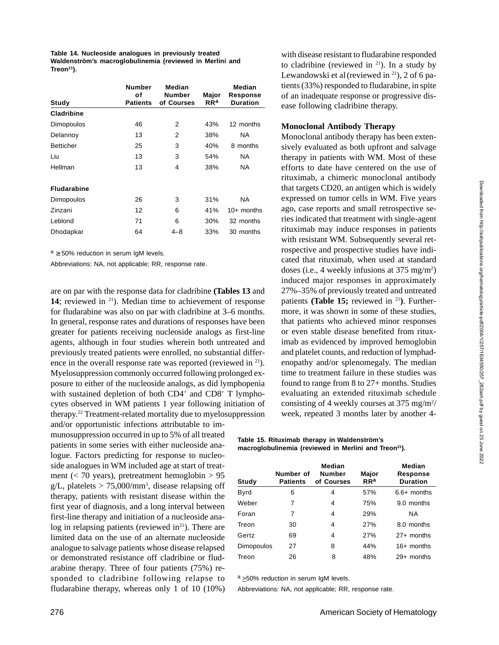|                        | Table 14. Nucleoside analogues in previously treated     |  |  |
|------------------------|----------------------------------------------------------|--|--|
|                        | Waldenström's macroglobulinemia (reviewed in Merlini and |  |  |
| Treon <sup>21</sup> ). |                                                          |  |  |

| Study              | <b>Number</b><br>٥f<br><b>Patients</b> | Median<br>Number<br>of Courses | Major<br>R <sub>Ra</sub> | Median<br>Response<br><b>Duration</b> |
|--------------------|----------------------------------------|--------------------------------|--------------------------|---------------------------------------|
| Cladribine         |                                        |                                |                          |                                       |
| Dimopoulos         | 46                                     | 2                              | 43%                      | 12 months                             |
| Delannoy           | 13                                     | 2                              | 38%                      | NA                                    |
| <b>Betticher</b>   | 25                                     | 3                              | 40%                      | 8 months                              |
| Liu                | 13                                     | 3                              | 54%                      | NA.                                   |
| Hellman            | 13                                     | 4                              | 38%                      | NA                                    |
| <b>Fludarabine</b> |                                        |                                |                          |                                       |
| <b>Dimopoulos</b>  | 26                                     | 3                              | 31%                      | NA.                                   |
| Zinzani            | 12                                     | 6                              | 41%                      | $10+$ months                          |
| Leblond            | 71                                     | 6                              | 30%                      | 32 months                             |
| Dhodapkar          | 64                                     | 4–8                            | 33%                      | 30 months                             |

 $a \geq 50\%$  reduction in serum IgM levels.

Abbreviations: NA, not applicable; RR, response rate.

are on par with the response data for cladribine **(Tables 13** and **14**; reviewed in <sup>21</sup>). Median time to achievement of response for fludarabine was also on par with cladribine at 3–6 months. In general, response rates and durations of responses have been greater for patients receiving nucleoside analogs as first-line agents, although in four studies wherein both untreated and previously treated patients were enrolled, no substantial difference in the overall response rate was reported (reviewed in 21). Myelosuppression commonly occurred following prolonged exposure to either of the nucleoside analogs, as did lymphopenia with sustained depletion of both CD4<sup>+</sup> and CD8<sup>+</sup> T lymphocytes observed in WM patients 1 year following initiation of therapy.22 Treatment-related mortality due to myelosuppression and/or opportunistic infections attributable to immunosuppression occurred in up to 5% of all treated patients in some series with either nucleoside analogue. Factors predicting for response to nucleoside analogues in WM included age at start of treatment ( $<$  70 years), pretreatment hemoglobin  $>$  95  $g/L$ , platelets > 75,000/mm<sup>3</sup>, disease relapsing off therapy, patients with resistant disease within the first year of diagnosis, and a long interval between first-line therapy and initiation of a nucleoside analog in relapsing patients (reviewed  $in<sup>21</sup>$ ). There are limited data on the use of an alternate nucleoside analogue to salvage patients whose disease relapsed or demonstrated resistance off cladribine or fludarabine therapy. Three of four patients (75%) responded to cladribine following relapse to

fludarabine therapy, whereas only 1 of 10 (10%)

# **Monoclonal Antibody Therapy**

Monoclonal antibody therapy has been extensively evaluated as both upfront and salvage therapy in patients with WM. Most of these efforts to date have centered on the use of rituximab, a chimeric monoclonal antibody that targets CD20, an antigen which is widely expressed on tumor cells in WM. Five years ago, case reports and small retrospective series indicated that treatment with single-agent rituximab may induce responses in patients with resistant WM. Subsequently several retrospective and prospective studies have indicated that rituximab, when used at standard doses (i.e., 4 weekly infusions at  $375 \text{ mg/m}^2$ ) induced major responses in approximately 27%–35% of previously treated and untreated patients (Table 15; reviewed in <sup>21</sup>). Furthermore, it was shown in some of these studies, that patients who achieved minor responses or even stable disease benefited from rituximab as evidenced by improved hemoglobin and platelet counts, and reduction of lymphadenopathy and/or splenomegaly. The median time to treatment failure in these studies was found to range from 8 to 27+ months. Studies evaluating an extended rituximab schedule consisting of 4 weekly courses at  $375 \text{ mg/m}^2$ / week, repeated 3 months later by another 4-

#### **Table 15. Rituximab therapy in Waldenström's** macroglobulinemia (reviewed in Merlini and Treon<sup>21</sup>).

| Study      | Number of<br><b>Patients</b> | Median<br><b>Number</b><br>of Courses | Major<br>RR <sup>a</sup> | Median<br>Response<br><b>Duration</b> |
|------------|------------------------------|---------------------------------------|--------------------------|---------------------------------------|
| Byrd       | 6                            | 4                                     | 57%                      | $6.6+$ months                         |
| Weber      | 7                            | 4                                     | 75%                      | 9.0 months                            |
| Foran      | 7                            | 4                                     | 29%                      | NA                                    |
| Treon      | 30                           | 4                                     | 27%                      | 8.0 months                            |
| Gertz      | 69                           | 4                                     | 27%                      | $27+$ months                          |
| Dimopoulos | 27                           | 8                                     | 44%                      | $16+$ months                          |
| Treon      | 26                           | 8                                     | 48%                      | $29+$ months                          |

 $a_{\geq 50\%}$  reduction in serum IgM levels.

Abbreviations: NA, not applicable; RR, response rate.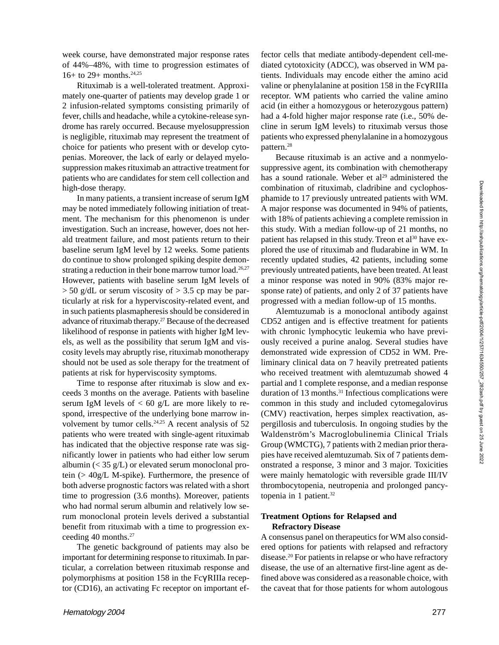week course, have demonstrated major response rates of 44%–48%, with time to progression estimates of 16+ to 29+ months.24,25

Rituximab is a well-tolerated treatment. Approximately one-quarter of patients may develop grade 1 or 2 infusion-related symptoms consisting primarily of fever, chills and headache, while a cytokine-release syndrome has rarely occurred. Because myelosuppression is negligible, rituximab may represent the treatment of choice for patients who present with or develop cytopenias. Moreover, the lack of early or delayed myelosuppression makes rituximab an attractive treatment for patients who are candidates for stem cell collection and high-dose therapy.

In many patients, a transient increase of serum IgM may be noted immediately following initiation of treatment. The mechanism for this phenomenon is under investigation. Such an increase, however, does not herald treatment failure, and most patients return to their baseline serum IgM level by 12 weeks. Some patients do continue to show prolonged spiking despite demonstrating a reduction in their bone marrow tumor load.<sup>26,27</sup> However, patients with baseline serum IgM levels of  $>$  50 g/dL or serum viscosity of  $>$  3.5 cp may be particularly at risk for a hyperviscosity-related event, and in such patients plasmapheresis should be considered in advance of rituximab therapy.27 Because of the decreased likelihood of response in patients with higher IgM levels, as well as the possibility that serum IgM and viscosity levels may abruptly rise, rituximab monotherapy should not be used as sole therapy for the treatment of patients at risk for hyperviscosity symptoms.

Time to response after rituximab is slow and exceeds 3 months on the average. Patients with baseline serum IgM levels of  $< 60$  g/L are more likely to respond, irrespective of the underlying bone marrow involvement by tumor cells.<sup>24,25</sup> A recent analysis of 52 patients who were treated with single-agent rituximab has indicated that the objective response rate was significantly lower in patients who had either low serum albumin (< 35 g/L) or elevated serum monoclonal protein  $(>40g/L)$  M-spike). Furthermore, the presence of both adverse prognostic factors was related with a short time to progression (3.6 months). Moreover, patients who had normal serum albumin and relatively low serum monoclonal protein levels derived a substantial benefit from rituximab with a time to progression exceeding 40 months.27

The genetic background of patients may also be important for determining response to rituximab. In particular, a correlation between rituximab response and polymorphisms at position 158 in the Fcγ RIIIa receptor (CD16), an activating Fc receptor on important effector cells that mediate antibody-dependent cell-mediated cytotoxicity (ADCC), was observed in WM patients. Individuals may encode either the amino acid valine or phenylalanine at position 158 in the Fcγ RIIIa receptor. WM patients who carried the valine amino acid (in either a homozygous or heterozygous pattern) had a 4-fold higher major response rate (i.e., 50% decline in serum IgM levels) to rituximab versus those patients who expressed phenylalanine in a homozygous pattern.<sup>28</sup>

Because rituximab is an active and a nonmyelosuppressive agent, its combination with chemotherapy has a sound rationale. Weber et al<sup>29</sup> administered the combination of rituximab, cladribine and cyclophosphamide to 17 previously untreated patients with WM. A major response was documented in 94% of patients, with 18% of patients achieving a complete remission in this study. With a median follow-up of 21 months, no patient has relapsed in this study. Treon et al<sup>30</sup> have explored the use of rituximab and fludarabine in WM. In recently updated studies, 42 patients, including some previously untreated patients, have been treated. At least a minor response was noted in 90% (83% major response rate) of patients, and only 2 of 37 patients have progressed with a median follow-up of 15 months.

Alemtuzumab is a monoclonal antibody against CD52 antigen and is effective treatment for patients with chronic lymphocytic leukemia who have previously received a purine analog. Several studies have demonstrated wide expression of CD52 in WM. Preliminary clinical data on 7 heavily pretreated patients who received treatment with alemtuzumab showed 4 partial and 1 complete response, and a median response duration of  $13$  months.<sup>31</sup> Infectious complications were common in this study and included cytomegalovirus (CMV) reactivation, herpes simplex reactivation, aspergillosis and tuberculosis. In ongoing studies by the Waldenström's Macroglobulinemia Clinical Trials Group (WMCTG), 7 patients with 2 median prior therapies have received alemtuzumab. Six of 7 patients demonstrated a response, 3 minor and 3 major. Toxicities were mainly hematologic with reversible grade III/IV thrombocytopenia, neutropenia and prolonged pancytopenia in 1 patient. $32$ 

# **Treatment Options for Relapsed and Refractory Disease**

A consensus panel on therapeutics for WM also considered options for patients with relapsed and refractory disease.<sup>20</sup> For patients in relapse or who have refractory disease, the use of an alternative first-line agent as defined above was considered as a reasonable choice, with the caveat that for those patients for whom autologous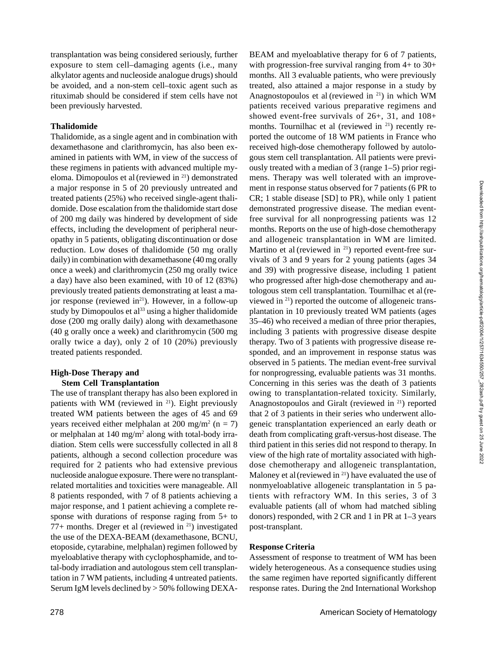transplantation was being considered seriously, further exposure to stem cell–damaging agents (i.e., many alkylator agents and nucleoside analogue drugs) should be avoided, and a non-stem cell–toxic agent such as rituximab should be considered if stem cells have not been previously harvested.

#### **Thalidomide**

Thalidomide, as a single agent and in combination with dexamethasone and clarithromycin, has also been examined in patients with WM, in view of the success of these regimens in patients with advanced multiple myeloma. Dimopoulos et al(reviewed in 21) demonstrated a major response in 5 of 20 previously untreated and treated patients (25%) who received single-agent thalidomide. Dose escalation from the thalidomide start dose of 200 mg daily was hindered by development of side effects, including the development of peripheral neuropathy in 5 patients, obligating discontinuation or dose reduction. Low doses of thalidomide (50 mg orally daily) in combination with dexamethasone (40 mg orally once a week) and clarithromycin (250 mg orally twice a day) have also been examined, with 10 of 12 (83%) previously treated patients demonstrating at least a major response (reviewed in $^{21}$ ). However, in a follow-up study by Dimopoulos et al $^{33}$  using a higher thalidomide dose (200 mg orally daily) along with dexamethasone (40 g orally once a week) and clarithromycin (500 mg orally twice a day), only 2 of 10 (20%) previously treated patients responded.

#### **High-Dose Therapy and Stem Cell Transplantation**

The use of transplant therapy has also been explored in patients with WM (reviewed in  $21$ ). Eight previously treated WM patients between the ages of 45 and 69 years received either melphalan at  $200 \text{ mg/m}^2$  (n = 7) or melphalan at 140 mg/m2 along with total-body irradiation. Stem cells were successfully collected in all 8 patients, although a second collection procedure was required for 2 patients who had extensive previous nucleoside analogue exposure. There were no transplantrelated mortalities and toxicities were manageable. All 8 patients responded, with 7 of 8 patients achieving a major response, and 1 patient achieving a complete response with durations of response raging from 5+ to 77+ months. Dreger et al (reviewed in  $21$ ) investigated the use of the DEXA-BEAM (dexamethasone, BCNU, etoposide, cytarabine, melphalan) regimen followed by myeloablative therapy with cyclophosphamide, and total-body irradiation and autologous stem cell transplantation in 7 WM patients, including 4 untreated patients. Serum IgM levels declined by > 50% following DEXA-

BEAM and myeloablative therapy for 6 of 7 patients, with progression-free survival ranging from 4+ to 30+ months. All 3 evaluable patients, who were previously treated, also attained a major response in a study by Anagnostopoulos et al (reviewed in  $21$ ) in which WM patients received various preparative regimens and showed event-free survivals of 26+, 31, and 108+ months. Tournilhac et al (reviewed in <sup>21</sup>) recently reported the outcome of 18 WM patients in France who received high-dose chemotherapy followed by autologous stem cell transplantation. All patients were previously treated with a median of 3 (range 1–5) prior regimens. Therapy was well tolerated with an improvement in response status observed for 7 patients (6 PR to CR; 1 stable disease [SD] to PR), while only 1 patient demonstrated progressive disease. The median eventfree survival for all nonprogressing patients was 12 months. Reports on the use of high-dose chemotherapy and allogeneic transplantation in WM are limited. Martino et al (reviewed in  $21$ ) reported event-free survivals of 3 and 9 years for 2 young patients (ages 34 and 39) with progressive disease, including 1 patient who progressed after high-dose chemotherapy and autologous stem cell transplantation. Tournilhac et al (reviewed in 21) reported the outcome of allogeneic transplantation in 10 previously treated WM patients (ages 35–46) who received a median of three prior therapies, including 3 patients with progressive disease despite therapy. Two of 3 patients with progressive disease responded, and an improvement in response status was observed in 5 patients. The median event-free survival for nonprogressing, evaluable patients was 31 months. Concerning in this series was the death of 3 patients owing to transplantation-related toxicity. Similarly, Anagnostopoulos and Giralt (reviewed in <sup>21</sup>) reported that 2 of 3 patients in their series who underwent allogeneic transplantation experienced an early death or death from complicating graft-versus-host disease. The third patient in this series did not respond to therapy. In view of the high rate of mortality associated with highdose chemotherapy and allogeneic transplantation, Maloney et al (reviewed in  $21$ ) have evaluated the use of nonmyeloablative allogeneic transplantation in 5 patients with refractory WM. In this series, 3 of 3 evaluable patients (all of whom had matched sibling donors) responded, with 2 CR and 1 in PR at 1–3 years post-transplant.

# **Response Criteria**

Assessment of response to treatment of WM has been widely heterogeneous. As a consequence studies using the same regimen have reported significantly different response rates. During the 2nd International Workshop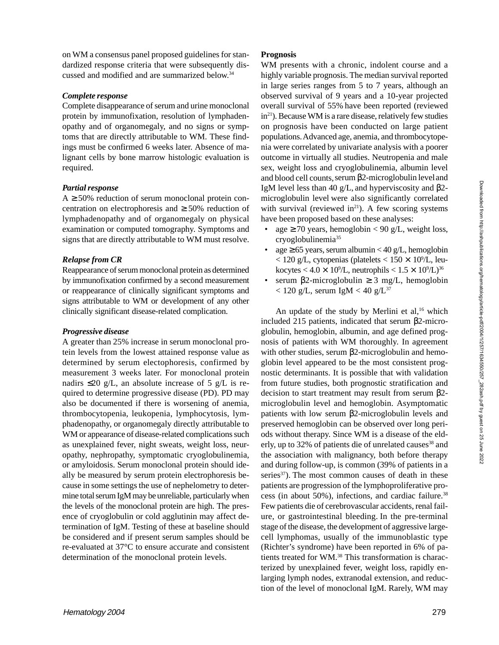on WM a consensus panel proposed guidelines for standardized response criteria that were subsequently discussed and modified and are summarized below.34

#### *Complete response*

Complete disappearance of serum and urine monoclonal protein by immunofixation, resolution of lymphadenopathy and of organomegaly, and no signs or symptoms that are directly attributable to WM. These findings must be confirmed 6 weeks later. Absence of malignant cells by bone marrow histologic evaluation is required.

# *Partial response*

 $A \ge 50\%$  reduction of serum monoclonal protein concentration on electrophoresis and  $\geq$  50% reduction of lymphadenopathy and of organomegaly on physical examination or computed tomography. Symptoms and signs that are directly attributable to WM must resolve.

### *Relapse from CR*

Reappearance of serum monoclonal protein as determined by immunofixation confirmed by a second measurement or reappearance of clinically significant symptoms and signs attributable to WM or development of any other clinically significant disease-related complication.

### *Progressive disease*

A greater than 25% increase in serum monoclonal protein levels from the lowest attained response value as determined by serum electophoresis, confirmed by measurement 3 weeks later. For monoclonal protein nadirs  $\leq 20$  g/L, an absolute increase of 5 g/L is required to determine progressive disease (PD). PD may also be documented if there is worsening of anemia, thrombocytopenia, leukopenia, lymphocytosis, lymphadenopathy, or organomegaly directly attributable to WM or appearance of disease-related complications such as unexplained fever, night sweats, weight loss, neuropathy, nephropathy, symptomatic cryoglobulinemia, or amyloidosis. Serum monoclonal protein should ideally be measured by serum protein electrophoresis because in some settings the use of nephelometry to determine total serum IgM may be unreliable, particularly when the levels of the monoclonal protein are high. The presence of cryoglobulin or cold agglutinin may affect determination of IgM. Testing of these at baseline should be considered and if present serum samples should be re-evaluated at 37°C to ensure accurate and consistent determination of the monoclonal protein levels.

### **Prognosis**

WM presents with a chronic, indolent course and a highly variable prognosis. The median survival reported in large series ranges from 5 to 7 years, although an observed survival of 9 years and a 10-year projected overall survival of 55% have been reported (reviewed in<sup>21</sup>). Because WM is a rare disease, relatively few studies on prognosis have been conducted on large patient populations.Advanced age, anemia, and thrombocytopenia were correlated by univariate analysis with a poorer outcome in virtually all studies. Neutropenia and male sex, weight loss and cryoglobulinemia, albumin level and blood cell counts, serum β2-microglobulin level and IgM level less than 40 g/L, and hyperviscosity and β2 microglobulin level were also significantly correlated with survival (reviewed in $2^{1}$ ). A few scoring systems have been proposed based on these analyses:

- $age \ge 70$  years, hemoglobin < 90 g/L, weight loss,  $crvoglobulinemia<sup>35</sup>$
- $age \ge 65$  years, serum albumin < 40 g/L, hemoglobin  $< 120 \text{ g/L}$ , cytopenias (platelets  $< 150 \times 10^9$ /L, leukocytes <  $4.0 \times 10^9$ /L, neutrophils <  $1.5 \times 10^9$ /L)<sup>36</sup>
- serum  $\beta$ 2-microglobulin  $\geq$  3 mg/L, hemoglobin  $< 120$  g/L, serum IgM  $< 40$  g/L<sup>37</sup>

An update of the study by Merlini et al*,* 16 which included 215 patients, indicated that serum β2-microglobulin, hemoglobin, albumin, and age defined prognosis of patients with WM thoroughly. In agreement with other studies, serum β2-microglobulin and hemoglobin level appeared to be the most consistent prognostic determinants. It is possible that with validation from future studies, both prognostic stratification and decision to start treatment may result from serum β2 microglobulin level and hemoglobin. Asymptomatic patients with low serum β2-microglobulin levels and preserved hemoglobin can be observed over long periods without therapy. Since WM is a disease of the elderly, up to  $32\%$  of patients die of unrelated causes<sup>38</sup> and the association with malignancy, both before therapy and during follow-up, is common (39% of patients in a series $37$ ). The most common causes of death in these patients are progression of the lymphoproliferative process (in about  $50\%$ ), infections, and cardiac failure.<sup>38</sup> Few patients die of cerebrovascular accidents, renal failure, or gastrointestinal bleeding. In the pre-terminal stage of the disease, the development of aggressive largecell lymphomas, usually of the immunoblastic type (Richter's syndrome) have been reported in 6% of patients treated for WM.38 This transformation is characterized by unexplained fever, weight loss, rapidly enlarging lymph nodes, extranodal extension, and reduction of the level of monoclonal IgM. Rarely, WM may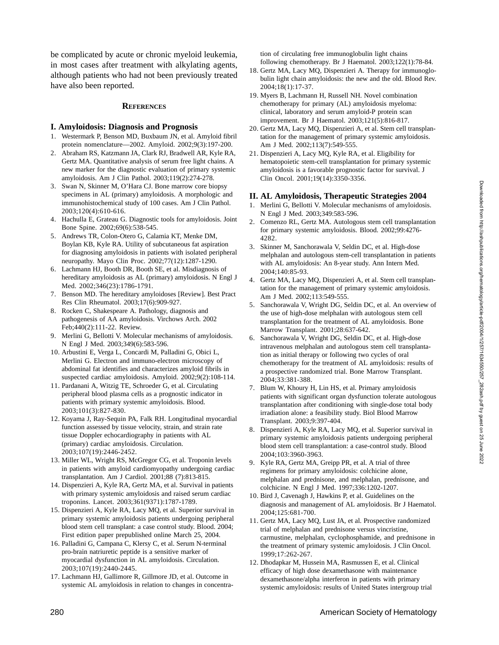be complicated by acute or chronic myeloid leukemia, in most cases after treatment with alkylating agents, although patients who had not been previously treated have also been reported.

#### **REFERENCES**

#### **I. Amyloidosis: Diagnosis and Prognosis**

- 1. Westermark P, Benson MD, Buxbaum JN, et al. Amyloid fibril protein nomenclature—2002. Amyloid. 2002;9(3):197-200.
- 2. Abraham RS, Katzmann JA, Clark RJ, Bradwell AR, Kyle RA, Gertz MA. Quantitative analysis of serum free light chains. A new marker for the diagnostic evaluation of primary systemic amyloidosis. Am J Clin Pathol. 2003;119(2):274-278.
- 3. Swan N, Skinner M, O'Hara CJ. Bone marrow core biopsy specimens in AL (primary) amyloidosis. A morphologic and immunohistochemical study of 100 cases. Am J Clin Pathol. 2003;120(4):610-616.
- 4. Hachulla E, Grateau G. Diagnostic tools for amyloidosis. Joint Bone Spine. 2002;69(6):538-545.
- 5. Andrews TR, Colon-Otero G, Calamia KT, Menke DM, Boylan KB, Kyle RA. Utility of subcutaneous fat aspiration for diagnosing amyloidosis in patients with isolated peripheral neuropathy. Mayo Clin Proc. 2002;77(12):1287-1290.
- 6. Lachmann HJ, Booth DR, Booth SE, et al. Misdiagnosis of hereditary amyloidosis as AL (primary) amyloidosis. N Engl J Med. 2002;346(23):1786-1791.
- 7. Benson MD. The hereditary amyloidoses [Review]. Best Pract Res Clin Rheumatol. 2003;17(6):909-927.
- 8. Rocken C, Shakespeare A. Pathology, diagnosis and pathogenesis of AA amyloidosis. Virchows Arch. 2002 Feb;440(2):111-22. Review.
- 9. Merlini G, Bellotti V. Molecular mechanisms of amyloidosis. N Engl J Med. 2003;349(6):583-596.
- 10. Arbustini E, Verga L, Concardi M, Palladini G, Obici L, Merlini G. Electron and immuno-electron microscopy of abdominal fat identifies and characterizes amyloid fibrils in suspected cardiac amyloidosis. Amyloid. 2002;9(2):108-114.
- 11. Pardanani A, Witzig TE, Schroeder G, et al. Circulating peripheral blood plasma cells as a prognostic indicator in patients with primary systemic amyloidosis. Blood. 2003;101(3):827-830.
- 12. Koyama J, Ray-Sequin PA, Falk RH. Longitudinal myocardial function assessed by tissue velocity, strain, and strain rate tissue Doppler echocardiography in patients with AL (primary) cardiac amyloidosis. Circulation. 2003;107(19):2446-2452.
- 13. Miller WL, Wright RS, McGregor CG, et al. Troponin levels in patients with amyloid cardiomyopathy undergoing cardiac transplantation. Am J Cardiol. 2001;88 (7):813-815.
- 14. Dispenzieri A, Kyle RA, Gertz MA, et al. Survival in patients with primary systemic amyloidosis and raised serum cardiac troponins. Lancet. 2003;361(9371):1787-1789.
- 15. Dispenzieri A, Kyle RA, Lacy MQ, et al. Superior survival in primary systemic amyloidosis patients undergoing peripheral blood stem cell transplant: a case control study. Blood. 2004; First edition paper prepublished online March 25, 2004.
- 16. Palladini G, Campana C, Klersy C, et al. Serum N-terminal pro-brain natriuretic peptide is a sensitive marker of myocardial dysfunction in AL amyloidosis. Circulation. 2003;107(19):2440-2445.
- 17. Lachmann HJ, Gallimore R, Gillmore JD, et al. Outcome in systemic AL amyloidosis in relation to changes in concentra-

tion of circulating free immunoglobulin light chains following chemotherapy. Br J Haematol. 2003;122(1):78-84.

- 18. Gertz MA, Lacy MQ, Dispenzieri A. Therapy for immunoglobulin light chain amyloidosis: the new and the old. Blood Rev. 2004;18(1):17-37.
- 19. Myers B, Lachmann H, Russell NH. Novel combination chemotherapy for primary (AL) amyloidosis myeloma: clinical, laboratory and serum amyloid-P protein scan improvement. Br J Haematol. 2003;121(5):816-817.
- 20. Gertz MA, Lacy MQ, Dispenzieri A, et al. Stem cell transplantation for the management of primary systemic amyloidosis. Am J Med. 2002;113(7):549-555.
- 21. Dispenzieri A, Lacy MQ, Kyle RA, et al. Eligibility for hematopoietic stem-cell transplantation for primary systemic amyloidosis is a favorable prognostic factor for survival. J Clin Oncol. 2001;19(14):3350-3356.

#### **II. AL Amyloidosis, Therapeutic Strategies 2004**

- 1. Merlini G, Bellotti V. Molecular mechanisms of amyloidosis. N Engl J Med. 2003;349:583-596.
- 2. Comenzo RL, Gertz MA. Autologous stem cell transplantation for primary systemic amyloidosis. Blood. 2002;99:4276- 4282.
- 3. Skinner M, Sanchorawala V, Seldin DC, et al. High-dose melphalan and autologous stem-cell transplantation in patients with AL amyloidosis: An 8-year study. Ann Intern Med. 2004;140:85-93.
- 4. Gertz MA, Lacy MQ, Dispenzieri A, et al. Stem cell transplantation for the management of primary systemic amyloidosis. Am J Med. 2002;113:549-555.
- 5. Sanchorawala V, Wright DG, Seldin DC, et al. An overview of the use of high-dose melphalan with autologous stem cell transplantation for the treatment of AL amyloidosis. Bone Marrow Transplant. 2001;28:637-642.
- 6. Sanchorawala V, Wright DG, Seldin DC, et al. High-dose intravenous melphalan and autologous stem cell transplantation as initial therapy or following two cycles of oral chemotherapy for the treatment of AL amyloidosis: results of a prospective randomized trial. Bone Marrow Transplant. 2004;33:381-388.
- 7. Blum W, Khoury H, Lin HS, et al. Primary amyloidosis patients with significant organ dysfunction tolerate autologous transplantation after conditioning with single-dose total body irradiation alone: a feasibility study. Biol Blood Marrow Transplant. 2003;9:397-404.
- 8. Dispenzieri A, Kyle RA, Lacy MQ, et al. Superior survival in primary systemic amyloidosis patients undergoing peripheral blood stem cell transplantation: a case-control study. Blood 2004;103:3960-3963.
- 9. Kyle RA, Gertz MA, Greipp PR, et al. A trial of three regimens for primary amyloidosis: colchicine alone, melphalan and prednisone, and melphalan, prednisone, and colchicine. N Engl J Med. 1997;336:1202-1207.
- 10. Bird J, Cavenagh J, Hawkins P, et al. Guidelines on the diagnosis and management of AL amyloidosis. Br J Haematol. 2004;125:681-700.
- 11. Gertz MA, Lacy MQ, Lust JA, et al. Prospective randomized trial of melphalan and prednisone versus vincristine, carmustine, melphalan, cyclophosphamide, and prednisone in the treatment of primary systemic amyloidosis. J Clin Oncol. 1999;17:262-267.
- 12. Dhodapkar M, Hussein MA, Rasmussen E, et al. Clinical efficacy of high dose dexamethasone with maintenance dexamethasone/alpha interferon in patients with primary systemic amyloidosis: results of United States intergroup trial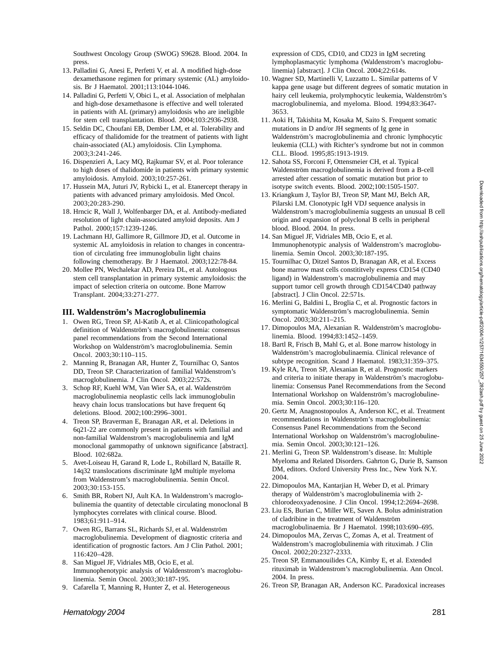Southwest Oncology Group (SWOG) S9628. Blood. 2004. In press.

- 13. Palladini G, Anesi E, Perfetti V, et al. A modified high-dose dexamethasone regimen for primary systemic (AL) amyloidosis. Br J Haematol. 2001;113:1044-1046.
- 14. Palladini G, Perfetti V, Obici L, et al. Association of melphalan and high-dose dexamethasone is effective and well tolerated in patients with AL (primary) amyloidosis who are ineligible for stem cell transplantation. Blood. 2004;103:2936-2938.
- 15. Seldin DC, Choufani EB, Dember LM, et al. Tolerability and efficacy of thalidomide for the treatment of patients with light chain-associated (AL) amyloidosis. Clin Lymphoma. 2003;3:241-246.
- 16. Dispenzieri A, Lacy MQ, Rajkumar SV, et al. Poor tolerance to high doses of thalidomide in patients with primary systemic amyloidosis. Amyloid. 2003;10:257-261.
- 17. Hussein MA, Juturi JV, Rybicki L, et al. Etanercept therapy in patients with advanced primary amyloidosis. Med Oncol. 2003;20:283-290.
- 18. Hrncic R, Wall J, Wolfenbarger DA, et al. Antibody-mediated resolution of light chain-associated amyloid deposits. Am J Pathol. 2000;157:1239-1246.
- 19. Lachmann HJ, Gallimore R, Gillmore JD, et al. Outcome in systemic AL amyloidosis in relation to changes in concentration of circulating free immunoglobulin light chains following chemotherapy. Br J Haematol. 2003;122:78-84.
- 20. Mollee PN, Wechalekar AD, Pereira DL, et al. Autologous stem cell transplantation in primary systemic amyloidosis: the impact of selection criteria on outcome. Bone Marrow Transplant. 2004;33:271-277.

#### **III. Waldenström's Macroglobulinemia**

- 1. Owen RG, Treon SP, Al-Katib A, et al. Clinicopathological definition of Waldenström's macroglobulinemia: consensus panel recommendations from the Second International Workshop on Waldenström's macroglobulinemia. Semin Oncol. 2003;30:110–115.
- 2. Manning R, Branagan AR, Hunter Z, Tournilhac O, Santos DD, Treon SP. Characterization of familial Waldenstrom's macroglobulinemia. J Clin Oncol. 2003;22:572s.
- 3. Schop RF, Kuehl WM, Van Wier SA, et al. Waldenström macroglobulinemia neoplastic cells lack immunoglobulin heavy chain locus translocations but have frequent 6q deletions. Blood. 2002;100:2996–3001.
- 4. Treon SP, Braverman E, Branagan AR, et al. Deletions in 6q21-22 are commonly present in patients with familial and non-familial Waldenstrom's macroglobulinemia and IgM monoclonal gammopathy of unknown significance [abstract]. Blood. 102:682a.
- 5. Avet-Loiseau H, Garand R, Lode L, Robillard N, Bataille R. 14q32 translocations discriminate IgM multiple myeloma from Waldenstrom's macroglobulinemia. Semin Oncol. 2003;30:153-155.
- 6. Smith BR, Robert NJ, Ault KA. In Waldenstrom's macroglobulinemia the quantity of detectable circulating monoclonal B lymphocytes correlates with clinical course. Blood. 1983;61:911–914.
- 7. Owen RG, Barrans SL, Richards SJ, et al. Waldenström macroglobulinemia. Development of diagnostic criteria and identification of prognostic factors. Am J Clin Pathol. 2001; 116:420–428.
- 8. San Miguel JF, Vidriales MB, Ocio E, et al. Immunophenotypic analysis of Waldenstrom's macroglobulinemia. Semin Oncol. 2003;30:187-195.
- 9. Cafarella T, Manning R, Hunter Z, et al. Heterogeneous

expression of CD5, CD10, and CD23 in IgM secreting lymphoplasmacytic lymphoma (Waldenstrom's macroglobulinemia) [abstract]. J Clin Oncol. 2004;22:614s.

- 10. Wagner SD, Martinelli V, Luzzatto L. Similar patterns of V kappa gene usage but different degrees of somatic mutation in hairy cell leukemia, prolymphocytic leukemia, Waldenström's macroglobulinemia, and myeloma. Blood. 1994;83:3647- 3653.
- 11. Aoki H, Takishita M, Kosaka M, Saito S. Frequent somatic mutations in D and/or JH segments of Ig gene in Waldenström's macroglobulinemia and chronic lymphocytic leukemia (CLL) with Richter's syndrome but not in common CLL. Blood. 1995;85:1913-1919.
- 12. Sahota SS, Forconi F, Ottensmeier CH, et al. Typical Waldenström macroglobulinemia is derived from a B-cell arrested after cessation of somatic mutation but prior to isotype switch events. Blood. 2002;100:1505-1507.
- 13. Kriangkum J, Taylor BJ, Treon SP, Mant MJ, Belch AR, Pilarski LM. Clonotypic IgH VDJ sequence analysis in Waldenstrom's macroglobulinemia suggests an unusual B cell origin and expansion of polyclonal B cells in peripheral blood. Blood. 2004. In press.
- 14. San Miguel JF, Vidriales MB, Ocio E, et al. Immunophenotypic analysis of Waldenstrom's macroglobulinemia. Semin Oncol. 2003;30:187-195.
- 15. Tournilhac O, Ditzel Santos D, Branagan AR, et al. Excess bone marrow mast cells constititvely express CD154 (CD40 ligand) in Waldenstrom's macroglobulinemia and may support tumor cell growth through CD154/CD40 pathway [abstract]. J Clin Oncol. 22:571s.
- 16. Merlini G, Baldini L, Broglia C, et al. Prognostic factors in symptomatic Waldenström's macroglobulinemia. Semin Oncol. 2003;30:211–215.
- 17. Dimopoulos MA, Alexanian R. Waldenström's macroglobulinemia. Blood. 1994;83:1452–1459.
- 18. Bartl R, Frisch B, Mahl G, et al. Bone marrow histology in Waldenström's macroglobulinaemia. Clinical relevance of subtype recognition. Scand J Haematol. 1983;31:359–375.
- 19. Kyle RA, Treon SP, Alexanian R, et al. Prognostic markers and criteria to initiate therapy in Waldenström's macroglobulinemia: Consensus Panel Recommendations from the Second International Workshop on Waldenström's macroglobulinemia. Semin Oncol. 2003;30:116–120.
- 20. Gertz M, Anagnostopoulos A, Anderson KC, et al. Treatment recommendations in Waldenström's macroglobulinemia: Consensus Panel Recommendations from the Second International Workshop on Waldenström's macroglobulinemia. Semin Oncol. 2003;30:121–126.
- 21. Merlini G, Treon SP. Waldenstrom's disease. In: Multiple Myeloma and Related Disorders. Gahrton G, Durie B, Samson DM, editors. Oxford University Press Inc., New York N.Y. 2004.
- 22. Dimopoulos MA, Kantarjian H, Weber D, et al. Primary therapy of Waldenström's macroglobulinemia with 2 chlorodeoxyadenosine. J Clin Oncol. 1994;12:2694–2698.
- 23. Liu ES, Burian C, Miller WE, Saven A. Bolus administration of cladribine in the treatment of Waldenström macroglobulinaemia. Br J Haematol. 1998;103:690–695.
- 24. Dimopoulos MA, Zervas C, Zomas A, et al. Treatment of Waldenstrom's macroglobulinemia with rituximab. J Clin Oncol. 2002;20:2327-2333.
- 25. Treon SP, Emmanouilides CA, Kimby E, et al. Extended rituximab in Waldenstrom's macroglobulinemia. Ann Oncol. 2004. In press.
- 26. Treon SP, Branagan AR, Anderson KC. Paradoxical increases